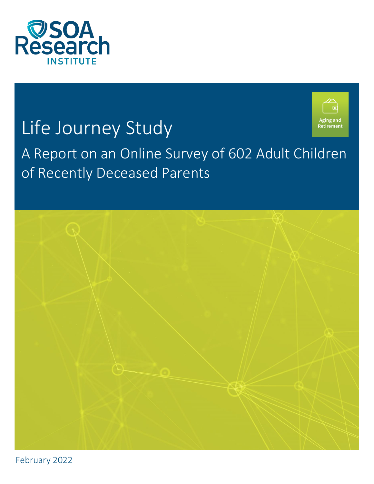

# Life Journey Study



# A Report on an Online Survey of 602 Adult Children of Recently Deceased Parents



February 2022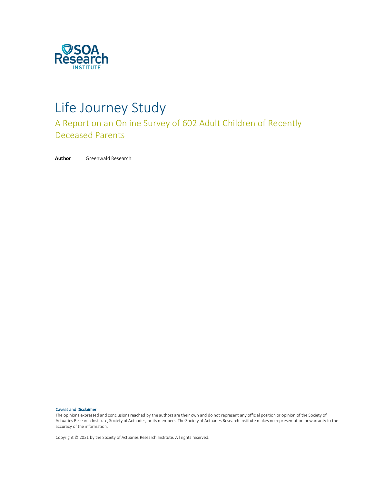

# Life Journey Study

A Report on an Online Survey of 602 Adult Children of Recently Deceased Parents

**Author** Greenwald Research

#### Caveat and Disclaimer

The opinions expressed and conclusions reached by the authors are their own and do not represent any official position or opinion of the Society of Actuaries Research Institute, Society of Actuaries, or its members. The Society of Actuaries Research Institute makes no representation or warranty to the accuracy of the information.

Copyright © 2021 by the Society of Actuaries Research Institute. All rights reserved.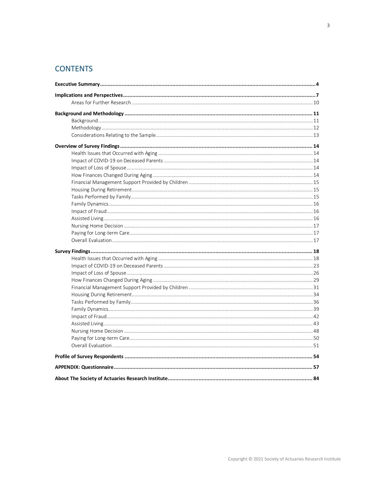# **CONTENTS**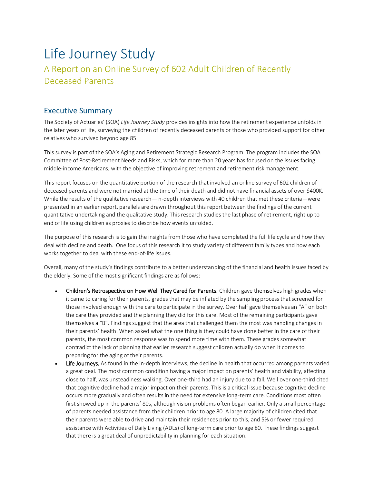# Life Journey Study

# A Report on an Online Survey of 602 Adult Children of Recently Deceased Parents

## <span id="page-3-0"></span>Executive Summary

The Society of Actuaries' (SOA) *Life Journey Study* provides insights into how the retirement experience unfolds in the later years of life, surveying the children of recently deceased parents or those who provided support for other relatives who survived beyond age 85.

This survey is part of the SOA's Aging and Retirement Strategic Research Program. The program includes the SOA Committee of Post-Retirement Needs and Risks, which for more than 20 years has focused on the issues facing middle-income Americans, with the objective of improving retirement and retirement risk management.

This report focuses on the quantitative portion of the research that involved an online survey of 602 children of deceased parents and were not married at the time of their death and did not have financial assets of over \$400K. While the results of the qualitative research—in-depth interviews with 40 children that met these criteria—were presented in an earlier report, parallels are drawn throughout this report between the findings of the current quantitative undertaking and the qualitative study. This research studies the last phase of retirement, right up to end of life using children as proxies to describe how events unfolded.

The purpose of this research is to gain the insights from those who have completed the full life cycle and how they deal with decline and death. One focus of this research it to study variety of different family types and how each works together to deal with these end-of-life issues.

Overall, many of the study's findings contribute to a better understanding of the financial and health issues faced by the elderly. Some of the most significant findings are as follows:

- Children's Retrospective on How Well They Cared for Parents. Children gave themselves high grades when it came to caring for their parents, grades that may be inflated by the sampling process that screened for those involved enough with the care to participate in the survey. Over half gave themselves an "A" on both the care they provided and the planning they did for this care. Most of the remaining participants gave themselves a "B". Findings suggest that the area that challenged them the most was handling changes in their parents' health. When asked what the one thing is they could have done better in the care of their parents, the most common response was to spend more time with them. These grades somewhat contradict the lack of planning that earlier research suggest children actually do when it comes to preparing for the aging of their parents.
- Life Journeys. As found in the in-depth interviews, the decline in health that occurred among parents varied a great deal. The most common condition having a major impact on parents' health and viability, affecting close to half, was unsteadiness walking. Over one-third had an injury due to a fall. Well over one-third cited that cognitive decline had a major impact on their parents. This is a critical issue because cognitive decline occurs more gradually and often results in the need for extensive long-term care. Conditions most often first showed up in the parents' 80s, although vision problems often began earlier. Only a small percentage of parents needed assistance from their children prior to age 80. A large majority of children cited that their parents were able to drive and maintain their residences prior to this, and 5% or fewer required assistance with Activities of Daily Living (ADLs) of long-term care prior to age 80. These findings suggest that there is a great deal of unpredictability in planning for each situation.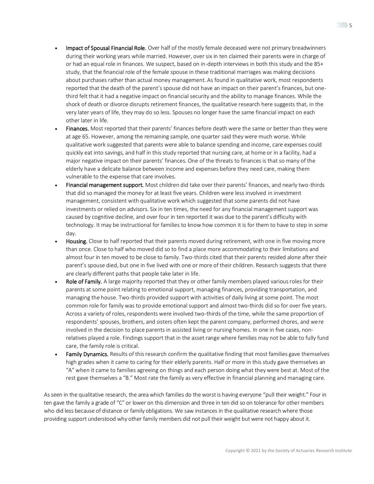- Impact of Spousal Financial Role. Over half of the mostly female deceased were not primary breadwinners during their working years while married. However, over six in ten claimed their parents were in charge of or had an equal role in finances. We suspect, based on in-depth interviews in both this study and the 85+ study, that the financial role of the female spouse in these traditional marriages was making decisions about purchases rather than actual money management. As found in qualitative work, most respondents reported that the death of the parent's spouse did not have an impact on their parent's finances, but onethird felt that it had a negative impact on financial security and the ability to manage finances. While the shock of death or divorce disrupts retirement finances, the qualitative research here suggests that, in the very later years of life, they may do so less. Spouses no longer have the same financial impact on each other later in life.
- Finances. Most reported that their parents' finances before death were the same or better than they were at age 65. However, among the remaining sample, one quarter said they were much worse. While qualitative work suggested that parents were able to balance spending and income, care expenses could quickly eat into savings, and half in this study reported that nursing care, at home or in a facility, had a major negative impact on their parents' finances. One of the threats to finances is that so many of the elderly have a delicate balance between income and expenses before they need care, making them vulnerable to the expense that care involves.
- Financial management support. Most children did take over their parents' finances, and nearly two-thirds that did so managed the money for at least five years. Children were less involved in investment management, consistent with qualitative work which suggested that some parents did not have investments or relied on advisors. Six in ten times, the need for any financial management support was caused by cognitive decline, and over four in ten reported it was due to the parent's difficulty with technology. It may be instructional for families to know how common it is for them to have to step in some day.
- Housing. Close to half reported that their parents moved during retirement, with one in five moving more than once. Close to half who moved did so to find a place more accommodating to their limitations and almost four in ten moved to be close to family. Two-thirds cited that their parents resided alone after their parent's spouse died, but one in five lived with one or more of their children. Research suggests that there are clearly different paths that people take later in life.
- Role of Family. A large majority reported that they or other family members played various roles for their parents at some point relating to emotional support, managing finances, providing transportation, and managing the house. Two-thirds provided support with activities of daily living at some point. The most common role for family was to provide emotional support and almost two-thirds did so for over five years. Across a variety of roles, respondents were involved two-thirds of the time, while the same proportion of respondents' spouses, brothers, and sisters often kept the parent company, performed chores, and were involved in the decision to place parents in assisted living or nursing homes. In one in five cases, nonrelatives played a role. Findings support that in the asset range where families may not be able to fully fund care, the family role is critical.
- Family Dynamics. Results of this research confirm the qualitative finding that most families gave themselves high grades when it came to caring for their elderly parents. Half or more in this study gave themselves an "A" when it came to families agreeing on things and each person doing what they were best at. Most of the rest gave themselves a "B." Most rate the family as very effective in financial planning and managing care.

As seen in the qualitative research, the area which families do the worst is having everyone "pull their weight." Four in ten gave the family a grade of "C" or lower on this dimension and three in ten did so on tolerance for other members who did less because of distance or family obligations. We saw instances in the qualitative research where those providing support understood why other family members did not pull their weight but were not happy about it.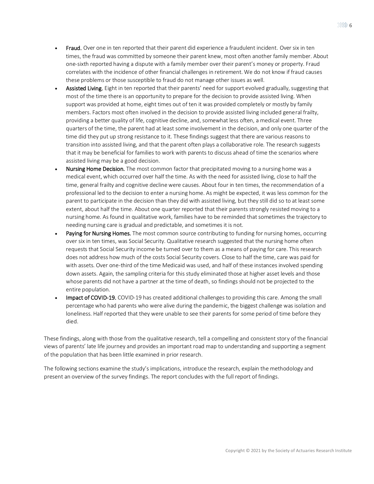- **Fraud.** Over one in ten reported that their parent did experience a fraudulent incident. Over six in ten times, the fraud was committed by someone their parent knew, most often another family member. About one-sixth reported having a dispute with a family member over their parent's money or property. Fraud correlates with the incidence of other financial challenges in retirement. We do not know if fraud causes these problems or those susceptible to fraud do not manage other issues as well.
- Assisted Living. Eight in ten reported that their parents' need for support evolved gradually, suggesting that most of the time there is an opportunity to prepare for the decision to provide assisted living. When support was provided at home, eight times out of ten it was provided completely or mostly by family members. Factors most often involved in the decision to provide assisted living included general frailty, providing a better quality of life, cognitive decline, and, somewhat less often, a medical event. Three quarters of the time, the parent had at least some involvement in the decision, and only one quarter of the time did they put up strong resistance to it. These findings suggest that there are various reasons to transition into assisted living, and that the parent often plays a collaborative role. The research suggests that it may be beneficial for families to work with parents to discuss ahead of time the scenarios where assisted living may be a good decision.
- Nursing Home Decision. The most common factor that precipitated moving to a nursing home was a medical event, which occurred over half the time. As with the need for assisted living, close to half the time, general frailty and cognitive decline were causes. About four in ten times, the recommendation of a professional led to the decision to enter a nursing home. As might be expected, it was less common for the parent to participate in the decision than they did with assisted living, but they still did so to at least some extent, about half the time. About one quarter reported that their parents strongly resisted moving to a nursing home. As found in qualitative work, families have to be reminded that sometimes the trajectory to needing nursing care is gradual and predictable, and sometimes it is not.
- Paying for Nursing Homes. The most common source contributing to funding for nursing homes, occurring over six in ten times, was Social Security. Qualitative research suggested that the nursing home often requests that Social Security income be turned over to them as a means of paying for care. This research does not address how much of the costs Social Security covers. Close to half the time, care was paid for with assets. Over one-third of the time Medicaid was used, and half of these instances involved spending down assets. Again, the sampling criteria for this study eliminated those at higher asset levels and those whose parents did not have a partner at the time of death, so findings should not be projected to the entire population.
- Impact of COVID-19. COVID-19 has created additional challenges to providing this care. Among the small percentage who had parents who were alive during the pandemic, the biggest challenge was isolation and loneliness. Half reported that they were unable to see their parents for some period of time before they died.

These findings, along with those from the qualitative research, tell a compelling and consistent story of the financial views of parents' late life journey and provides an important road map to understanding and supporting a segment of the population that has been little examined in prior research.

The following sections examine the study's implications, introduce the research, explain the methodology and present an overview of the survey findings. The report concludes with the full report of findings.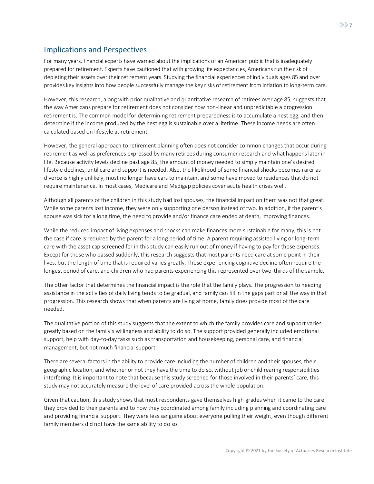# <span id="page-6-0"></span>Implications and Perspectives

For many years, financial experts have warned about the implications of an American public that is inadequately prepared for retirement. Experts have cautioned that with growing life expectancies, Americans run the risk of depleting their assets over their retirement years. Studying the financial experiences of individuals ages 85 and over provides key insights into how people successfully manage the key risks of retirement from inflation to long-term care.

However, this research, along with prior qualitative and quantitative research of retirees over age 85, suggests that the way Americans prepare for retirement does not consider how non-linear and unpredictable a progression retirement is. The common model for determining retirement preparedness is to accumulate a nest egg, and then determine if the income produced by the nest egg is sustainable over a lifetime. These income needs are often calculated based on lifestyle at retirement.

However, the general approach to retirement planning often does not consider common changes that occur during retirement as well as preferences expressed by many retirees during consumer research and what happens later in life. Because activity levels decline past age 85, the amount of money needed to simply maintain one's desired lifestyle declines, until care and support is needed. Also, the likelihood of some financial shocks becomes rarer as divorce is highly unlikely, most no longer have cars to maintain, and some have moved to residences that do not require maintenance. In most cases, Medicare and Medigap policies cover acute health crises well.

Although all parents of the children in this study had lost spouses, the financial impact on them was not that great. While some parents lost income, they were only supporting one person instead of two. In addition, if the parent's spouse was sick for a long time, the need to provide and/or finance care ended at death, improving finances.

While the reduced impact of living expenses and shocks can make finances more sustainable for many, this is not the case if care is required by the parent for a long period of time. A parent requiring assisted living or long-term care with the asset cap screened for in this study can easily run out of money if having to pay for those expenses. Except for those who passed suddenly, this research suggests that most parents need care at some point in their lives, but the length of time that is required varies greatly. Those experiencing cognitive decline often require the longest period of care, and children who had parents experiencing this represented over two-thirds of the sample.

The other factor that determines the financial impact is the role that the family plays. The progression to needing assistance in the activities of daily living tends to be gradual, and family can fill in the gaps part or all the way in that progression. This research shows that when parents are living at home, family does provide most of the care needed.

The qualitative portion of this study suggests that the extent to which the family provides care and support varies greatly based on the family's willingness and ability to do so. The support provided generally included emotional support, help with day-to-day tasks such as transportation and housekeeping, personal care, and financial management, but not much financial support.

There are several factors in the ability to provide care including the number of children and their spouses, their geographic location, and whether or not they have the time to do so, without job or child rearing responsibilities interfering. It is important to note that because this study screened for those involved in their parents' care, this study may not accurately measure the level of care provided across the whole population.

Given that caution, this study shows that most respondents gave themselves high grades when it came to the care they provided to their parents and to how they coordinated among family including planning and coordinating care and providing financial support. They were less sanguine about everyone pulling their weight, even though different family members did not have the same ability to do so.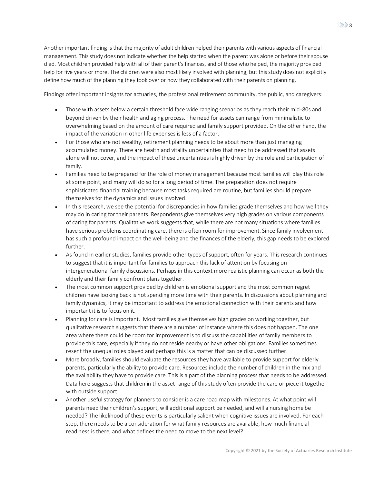$\gg$  8

Another important finding is that the majority of adult children helped their parents with various aspects of financial management. This study does not indicate whether the help started when the parent was alone or before their spouse died. Most children provided help with all of their parent's finances, and of those who helped, the majority provided help for five years or more. The children were also most likely involved with planning, but this study does not explicitly define how much of the planning they took over or how they collaborated with their parents on planning.

Findings offer important insights for actuaries, the professional retirement community, the public, and caregivers:

- Those with assets below a certain threshold face wide ranging scenarios as they reach their mid-80s and beyond driven by their health and aging process. The need for assets can range from minimalistic to overwhelming based on the amount of care required and family support provided. On the other hand, the impact of the variation in other life expenses is less of a factor.
- For those who are not wealthy, retirement planning needs to be about more than just managing accumulated money. There are health and vitality uncertainties that need to be addressed that assets alone will not cover, and the impact of these uncertainties is highly driven by the role and participation of family.
- Families need to be prepared for the role of money management because most families will play this role at some point, and many will do so for a long period of time. The preparation does not require sophisticated financial training because most tasks required are routine, but families should prepare themselves for the dynamics and issues involved.
- In this research, we see the potential for discrepancies in how families grade themselves and how well they may do in caring for their parents. Respondents give themselves very high grades on various components of caring for parents. Qualitative work suggests that, while there are not many situations where families have serious problems coordinating care, there is often room for improvement. Since family involvement has such a profound impact on the well-being and the finances of the elderly, this gap needs to be explored further.
- As found in earlier studies, families provide other types of support, often for years. This research continues to suggest that it is important for families to approach this lack of attention by focusing on intergenerational family discussions. Perhaps in this context more realistic planning can occur as both the elderly and their family confront plans together.
- The most common support provided by children is emotional support and the most common regret children have looking back is not spending more time with their parents. In discussions about planning and family dynamics, it may be important to address the emotional connection with their parents and how important it is to focus on it.
- Planning for care is important. Most families give themselves high grades on working together, but qualitative research suggests that there are a number of instance where this does not happen. The one area where there could be room for improvement is to discuss the capabilities of family members to provide this care, especially if they do not reside nearby or have other obligations. Families sometimes resent the unequal roles played and perhaps this is a matter that can be discussed further.
- More broadly, families should evaluate the resources they have available to provide support for elderly parents, particularly the ability to provide care. Resources include the number of children in the mix and the availability they have to provide care. This is a part of the planning process that needs to be addressed. Data here suggests that children in the asset range of this study often provide the care or piece it together with outside support.
- Another useful strategy for planners to consider is a care road map with milestones. At what point will parents need their children's support, will additional support be needed, and will a nursing home be needed? The likelihood of these events is particularly salient when cognitive issues are involved. For each step, there needs to be a consideration for what family resources are available, how much financial readiness is there, and what defines the need to move to the next level?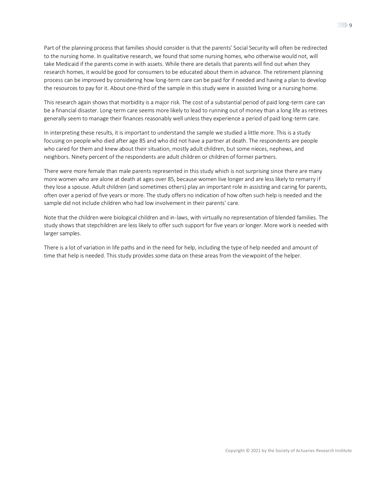Part of the planning process that families should consider is that the parents' Social Security will often be redirected to the nursing home. In qualitative research, we found that some nursing homes, who otherwise would not, will take Medicaid if the parents come in with assets. While there are details that parents will find out when they research homes, it would be good for consumers to be educated about them in advance. The retirement planning process can be improved by considering how long-term care can be paid for if needed and having a plan to develop the resources to pay for it. About one-third of the sample in this study were in assisted living or a nursing home.

This research again shows that morbidity is a major risk. The cost of a substantial period of paid long-term care can be a financial disaster. Long-term care seems more likely to lead to running out of money than a long life as retirees generally seem to manage their finances reasonably well unless they experience a period of paid long-term care.

In interpreting these results, it is important to understand the sample we studied a little more. This is a study focusing on people who died after age 85 and who did not have a partner at death. The respondents are people who cared for them and knew about their situation, mostly adult children, but some nieces, nephews, and neighbors. Ninety percent of the respondents are adult children or children of former partners.

There were more female than male parents represented in this study which is not surprising since there are many more women who are alone at death at ages over 85, because women live longer and are less likely to remarry if they lose a spouse. Adult children (and sometimes others) play an important role in assisting and caring for parents, often over a period of five years or more. The study offers no indication of how often such help is needed and the sample did not include children who had low involvement in their parents' care.

Note that the children were biological children and in-laws, with virtually no representation of blended families. The study shows that stepchildren are less likely to offer such support for five years or longer. More work is needed with larger samples.

There is a lot of variation in life paths and in the need for help, including the type of help needed and amount of time that help is needed. This study provides some data on these areas from the viewpoint of the helper.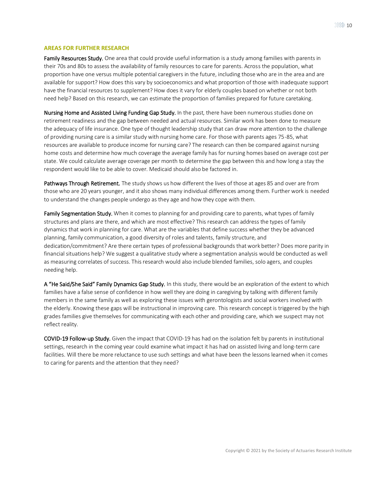## <span id="page-9-0"></span>**AREAS FOR FURTHER RESEARCH**

Family Resources Study. One area that could provide useful information is a study among families with parents in their 70s and 80s to assess the availability of family resources to care for parents. Across the population, what proportion have one versus multiple potential caregivers in the future, including those who are in the area and are available for support? How does this vary by socioeconomics and what proportion of those with inadequate support have the financial resources to supplement? How does it vary for elderly couples based on whether or not both need help? Based on this research, we can estimate the proportion of families prepared for future caretaking.

Nursing Home and Assisted Living Funding Gap Study. In the past, there have been numerous studies done on retirement readiness and the gap between needed and actual resources. Similar work has been done to measure the adequacy of life insurance. One type of thought leadership study that can draw more attention to the challenge of providing nursing care is a similar study with nursing home care. For those with parents ages 75-85, what resources are available to produce income for nursing care? The research can then be compared against nursing home costs and determine how much coverage the average family has for nursing homes based on average cost per state. We could calculate average coverage per month to determine the gap between this and how long a stay the respondent would like to be able to cover. Medicaid should also be factored in.

Pathways Through Retirement. The study shows us how different the lives of those at ages 85 and over are from those who are 20 years younger, and it also shows many individual differences among them. Further work is needed to understand the changes people undergo as they age and how they cope with them.

Family Segmentation Study. When it comes to planning for and providing care to parents, what types of family structures and plans are there, and which are most effective? This research can address the types of family dynamics that work in planning for care. What are the variables that define success whether they be advanced planning, family communication, a good diversity of roles and talents, family structure, and dedication/commitment? Are there certain types of professional backgrounds that work better? Does more parity in financial situations help? We suggest a qualitative study where a segmentation analysis would be conducted as well as measuring correlates of success. This research would also include blended families, solo agers, and couples needing help.

A "He Said/She Said" Family Dynamics Gap Study. In this study, there would be an exploration of the extent to which families have a false sense of confidence in how well they are doing in caregiving by talking with different family members in the same family as well as exploring these issues with gerontologists and social workers involved with the elderly. Knowing these gaps will be instructional in improving care. This research concept is triggered by the high grades families give themselves for communicating with each other and providing care, which we suspect may not reflect reality.

COVID-19 Follow-up Study. Given the impact that COVID-19 has had on the isolation felt by parents in institutional settings, research in the coming year could examine what impact it has had on assisted living and long-term care facilities. Will there be more reluctance to use such settings and what have been the lessons learned when it comes to caring for parents and the attention that they need?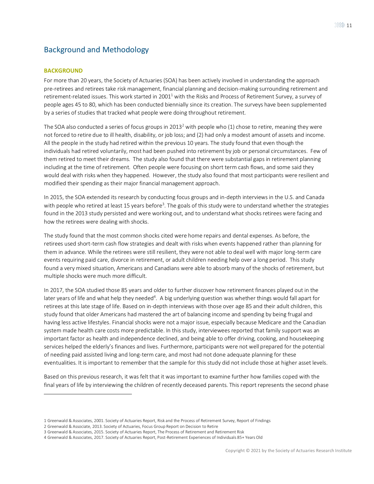# <span id="page-10-0"></span>Background and Methodology

## <span id="page-10-1"></span>**BACKGROUND**

For more than 20 years, the Society of Actuaries (SOA) has been actively involved in understanding the approach pre-retirees and retirees take risk management, financial planning and decision-making surrounding retirement and retirement-related issues. This work started in 2001<sup>1</sup> with the Risks and Process of Retirement Survey, a survey of people ages 45 to 80, which has been conducted biennially since its creation. The surveys have been supplemented by a series of studies that tracked what people were doing throughout retirement.

The SOA also conducted a series of focus groups in 2013<sup>2</sup> with people who (1) chose to retire, meaning they were not forced to retire due to ill health, disability, or job loss; and (2) had only a modest amount of assets and income. All the people in the study had retired within the previous 10 years. The study found that even though the individuals had retired voluntarily, most had been pushed into retirement by job or personal circumstances. Few of them retired to meet their dreams. The study also found that there were substantial gaps in retirement planning including at the time of retirement. Often people were focusing on short term cash flows, and some said they would deal with risks when they happened. However, the study also found that most participants were resilient and modified their spending as their major financial management approach.

In 2015, the SOA extended its research by conducting focus groups and in-depth interviews in the U.S. and Canada with people who retired at least 15 years before<sup>3</sup>. The goals of this study were to understand whether the strategies found in the 2013 study persisted and were working out, and to understand what shocks retirees were facing and how the retirees were dealing with shocks.

The study found that the most common shocks cited were home repairs and dental expenses. As before, the retirees used short-term cash flow strategies and dealt with risks when events happened rather than planning for them in advance. While the retirees were still resilient, they were not able to deal well with major long-term care events requiring paid care, divorce in retirement, or adult children needing help over a long period. This study found a very mixed situation, Americans and Canadians were able to absorb many of the shocks of retirement, but multiple shocks were much more difficult.

In 2017, the SOA studied those 85 years and older to further discover how retirement finances played out in the later years of life and what help they needed<sup>4</sup>. A big underlying question was whether things would fall apart for retirees at this late stage of life. Based on in-depth interviews with those over age 85 and their adult children, this study found that older Americans had mastered the art of balancing income and spending by being frugal and having less active lifestyles. Financial shocks were not a major issue, especially because Medicare and the Canadian system made health care costs more predictable. In this study, interviewees reported that family support was an important factor as health and independence declined, and being able to offer driving, cooking, and housekeeping services helped the elderly's finances and lives. Furthermore, participants were not well prepared for the potential of needing paid assisted living and long-term care, and most had not done adequate planning for these eventualities. It is important to remember that the sample for this study did not include those at higher asset levels.

Based on this previous research, it was felt that it was important to examine further how families coped with the final years of life by interviewing the children of recently deceased parents. This report represents the second phase

<sup>1</sup> Greenwald & Associates, 2001. Society of Actuaries Report, Risk and the Process of Retirement Survey, Report of Findings

<sup>2</sup> Greenwald & Associate, 2013. Society of Actuaries, Focus Group Report on Decision to Retire

<sup>3</sup> Greenwald & Associates, 2015. Society of Actuaries Report, The Process of Retirement and Retirement Risk

<sup>4</sup> Greenwald & Associates, 2017. Society of Actuaries Report, Post-Retirement Experiences of Individuals 85+ Years Old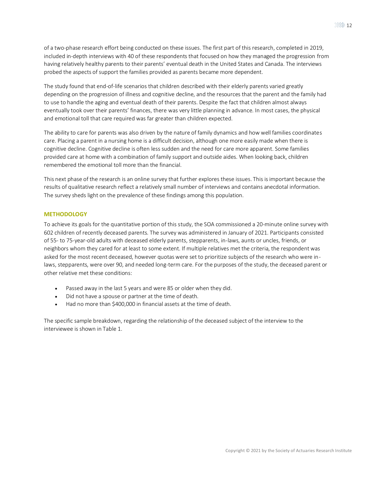The study found that end-of-life scenarios that children described with their elderly parents varied greatly depending on the progression of illness and cognitive decline, and the resources that the parent and the family had to use to handle the aging and eventual death of their parents. Despite the fact that children almost always eventually took over their parents' finances, there was very little planning in advance. In most cases, the physical and emotional toll that care required was far greater than children expected.

probed the aspects of support the families provided as parents became more dependent.

The ability to care for parents was also driven by the nature of family dynamics and how well families coordinates care. Placing a parent in a nursing home is a difficult decision, although one more easily made when there is cognitive decline. Cognitive decline is often less sudden and the need for care more apparent. Some families provided care at home with a combination of family support and outside aides. When looking back, children remembered the emotional toll more than the financial.

This next phase of the research is an online survey that further explores these issues. This is important because the results of qualitative research reflect a relatively small number of interviews and contains anecdotal information. The survey sheds light on the prevalence of these findings among this population.

## <span id="page-11-0"></span>**METHODOLOGY**

To achieve its goals for the quantitative portion of this study, the SOA commissioned a 20-minute online survey with 602 children of recently deceased parents. The survey was administered in January of 2021. Participants consisted of 55- to 75-year-old adults with deceased elderly parents, stepparents, in-laws, aunts or uncles, friends, or neighbors whom they cared for at least to some extent. If multiple relatives met the criteria, the respondent was asked for the most recent deceased, however quotas were set to prioritize subjects of the research who were inlaws, stepparents, were over 90, and needed long-term care. For the purposes of the study, the deceased parent or other relative met these conditions:

- Passed away in the last 5 years and were 85 or older when they did.
- Did not have a spouse or partner at the time of death.
- Had no more than \$400,000 in financial assets at the time of death.

The specific sample breakdown, regarding the relationship of the deceased subject of the interview to the interviewee is shown in Table 1.

 $\ggg$  12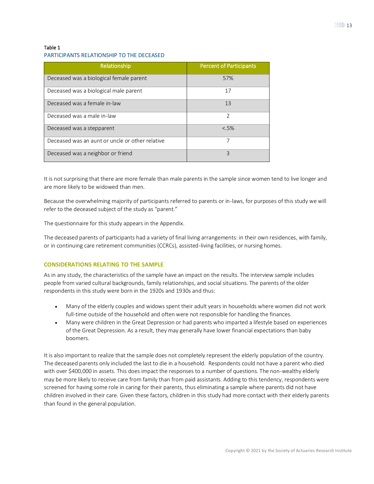## Table 1

## PARTICIPANTS RELATIONSHIP TO THE DECEASED

| Relationship                                    | <b>Percent of Participants</b> |
|-------------------------------------------------|--------------------------------|
| Deceased was a biological female parent         | 57%                            |
| Deceased was a biological male parent           | 17                             |
| Deceased was a female in-law                    | 13                             |
| Deceased was a male in-law                      | $\mathfrak{D}$                 |
| Deceased was a stepparent                       | &5%                            |
| Deceased was an aunt or uncle or other relative | 7                              |
| Deceased was a neighbor or friend               | 3                              |

It is not surprising that there are more female than male parents in the sample since women tend to live longer and are more likely to be widowed than men.

Because the overwhelming majority of participants referred to parents or in-laws, for purposes of this study we will refer to the deceased subject of the study as "parent."

The questionnaire for this study appears in the Appendix.

The deceased parents of participants had a variety of final living arrangements: in their own residences, with family, or in continuing care retirement communities (CCRCs), assisted-living facilities, or nursing homes.

#### <span id="page-12-0"></span>**CONSIDERATIONS RELATING TO THE SAMPLE**

As in any study, the characteristics of the sample have an impact on the results. The interview sample includes people from varied cultural backgrounds, family relationships, and social situations. The parents of the older respondents in this study were born in the 1920s and 1930s and thus:

- Many of the elderly couples and widows spent their adult years in households where women did not work full-time outside of the household and often were not responsible for handling the finances.
- Many were children in the Great Depression or had parents who imparted a lifestyle based on experiences of the Great Depression. As a result, they may generally have lower financial expectations than baby boomers.

It is also important to realize that the sample does not completely represent the elderly population of the country. The deceased parents only included the last to die in a household. Respondents could not have a parent who died with over \$400,000 in assets. This does impact the responses to a number of questions. The non-wealthy elderly may be more likely to receive care from family than from paid assistants. Adding to this tendency, respondents were screened for having some role in caring for their parents, thus eliminating a sample where parents did not have children involved in their care. Given these factors, children in this study had more contact with their elderly parents than found in the general population.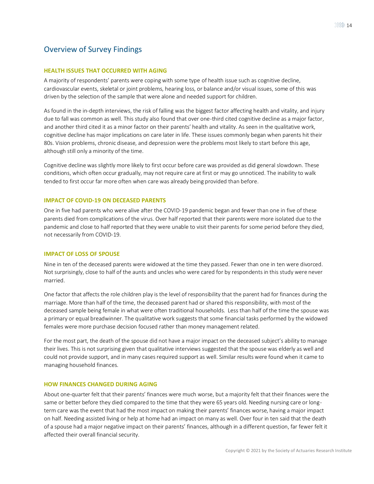## <span id="page-13-0"></span>Overview of Survey Findings

## <span id="page-13-1"></span>**HEALTH ISSUES THAT OCCURRED WITH AGING**

A majority of respondents' parents were coping with some type of health issue such as cognitive decline, cardiovascular events, skeletal or joint problems, hearing loss, or balance and/or visual issues, some of this was driven by the selection of the sample that were alone and needed support for children.

As found in the in-depth interviews, the risk of falling was the biggest factor affecting health and vitality, and injury due to fall was common as well. This study also found that over one-third cited cognitive decline as a major factor, and another third cited it as a minor factor on their parents' health and vitality. As seen in the qualitative work, cognitive decline has major implications on care later in life. These issues commonly began when parents hit their 80s. Vision problems, chronic disease, and depression were the problems most likely to start before this age, although still only a minority of the time.

Cognitive decline was slightly more likely to first occur before care was provided as did general slowdown. These conditions, which often occur gradually, may not require care at first or may go unnoticed. The inability to walk tended to first occur far more often when care was already being provided than before.

## <span id="page-13-2"></span>**IMPACT OF COVID-19 ON DECEASED PARENTS**

One in five had parents who were alive after the COVID-19 pandemic began and fewer than one in five of these parents died from complications of the virus. Over half reported that their parents were more isolated due to the pandemic and close to half reported that they were unable to visit their parents for some period before they died, not necessarily from COVID-19.

## <span id="page-13-3"></span>**IMPACT OF LOSS OF SPOUSE**

Nine in ten of the deceased parents were widowed at the time they passed. Fewer than one in ten were divorced. Not surprisingly, close to half of the aunts and uncles who were cared for by respondents in this study were never married.

One factor that affects the role children play is the level of responsibility that the parent had for finances during the marriage. More than half of the time, the deceased parent had or shared this responsibility, with most of the deceased sample being female in what were often traditional households. Less than half of the time the spouse was a primary or equal breadwinner. The qualitative work suggests that some financial tasks performed by the widowed females were more purchase decision focused rather than money management related.

For the most part, the death of the spouse did not have a major impact on the deceased subject's ability to manage their lives. This is not surprising given that qualitative interviews suggested that the spouse was elderly as well and could not provide support, and in many cases required support as well. Similar results were found when it came to managing household finances.

## <span id="page-13-4"></span>**HOW FINANCES CHANGED DURING AGING**

About one-quarter felt that their parents' finances were much worse, but a majority felt that their finances were the same or better before they died compared to the time that they were 65 years old. Needing nursing care or longterm care was the event that had the most impact on making their parents' finances worse, having a major impact on half. Needing assisted living or help at home had an impact on many as well. Over four in ten said that the death of a spouse had a major negative impact on their parents' finances, although in a different question, far fewer felt it affected their overall financial security.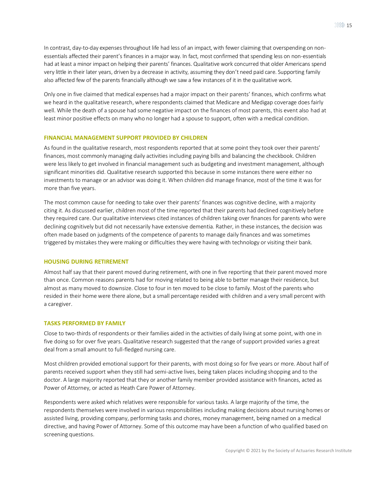In contrast, day-to-day expenses throughout life had less of an impact, with fewer claiming that overspending on nonessentials affected their parent's finances in a major way. In fact, most confirmed that spending less on non-essentials had at least a minor impact on helping their parents' finances. Qualitative work concurred that older Americans spend very little in their later years, driven by a decrease in activity, assuming they don't need paid care. Supporting family also affected few of the parents financially although we saw a few instances of it in the qualitative work.

Only one in five claimed that medical expenses had a major impact on their parents' finances, which confirms what we heard in the qualitative research, where respondents claimed that Medicare and Medigap coverage does fairly well. While the death of a spouse had some negative impact on the finances of most parents, this event also had at least minor positive effects on many who no longer had a spouse to support, often with a medical condition.

## <span id="page-14-0"></span>**FINANCIAL MANAGEMENT SUPPORT PROVIDED BY CHILDREN**

As found in the qualitative research, most respondents reported that at some point they took over their parents' finances, most commonly managing daily activities including paying bills and balancing the checkbook. Children were less likely to get involved in financial management such as budgeting and investment management, although significant minorities did. Qualitative research supported this because in some instances there were either no investments to manage or an advisor was doing it. When children did manage finance, most of the time it was for more than five years.

The most common cause for needing to take over their parents' finances was cognitive decline, with a majority citing it. As discussed earlier, children most of the time reported that their parents had declined cognitively before they required care. Our qualitative interviews cited instances of children taking over finances for parents who were declining cognitively but did not necessarily have extensive dementia. Rather, in these instances, the decision was often made based on judgments of the competence of parents to manage daily finances and was sometimes triggered by mistakes they were making or difficulties they were having with technology or visiting their bank.

## <span id="page-14-1"></span>**HOUSING DURING RETIREMENT**

Almost half say that their parent moved during retirement, with one in five reporting that their parent moved more than once. Common reasons parents had for moving related to being able to better manage their residence, but almost as many moved to downsize. Close to four in ten moved to be close to family. Most of the parents who resided in their home were there alone, but a small percentage resided with children and a very small percent with a caregiver.

## <span id="page-14-2"></span>**TASKS PERFORMED BY FAMILY**

Close to two-thirds of respondents or their families aided in the activities of daily living at some point, with one in five doing so for over five years. Qualitative research suggested that the range of support provided varies a great deal from a small amount to full-fledged nursing care.

Most children provided emotional support for their parents, with most doing so for five years or more. About half of parents received support when they still had semi-active lives, being taken places including shopping and to the doctor. A large majority reported that they or another family member provided assistance with finances, acted as Power of Attorney, or acted as Heath Care Power of Attorney.

Respondents were asked which relatives were responsible for various tasks. A large majority of the time, the respondents themselves were involved in various responsibilities including making decisions about nursing homes or assisted living, providing company, performing tasks and chores, money management, being named on a medical directive, and having Power of Attorney. Some of this outcome may have been a function of who qualified based on screening questions.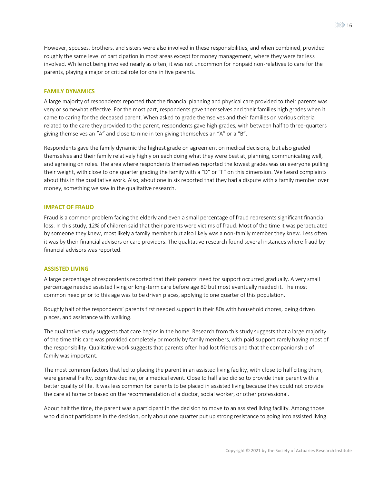However, spouses, brothers, and sisters were also involved in these responsibilities, and when combined, provided roughly the same level of participation in most areas except for money management, where they were far less involved. While not being involved nearly as often, it was not uncommon for nonpaid non-relatives to care for the parents, playing a major or critical role for one in five parents.

#### <span id="page-15-0"></span>**FAMILY DYNAMICS**

A large majority of respondents reported that the financial planning and physical care provided to their parents was very or somewhat effective. For the most part, respondents gave themselves and their families high grades when it came to caring for the deceased parent. When asked to grade themselves and their families on various criteria related to the care they provided to the parent, respondents gave high grades, with between half to three-quarters giving themselves an "A" and close to nine in ten giving themselves an "A" or a "B".

Respondents gave the family dynamic the highest grade on agreement on medical decisions, but also graded themselves and their family relatively highly on each doing what they were best at, planning, communicating well, and agreeing on roles. The area where respondents themselves reported the lowest grades was on everyone pulling their weight, with close to one quarter grading the family with a "D" or "F" on this dimension. We heard complaints about this in the qualitative work. Also, about one in six reported that they had a dispute with a family member over money, something we saw in the qualitative research.

#### <span id="page-15-1"></span>**IMPACT OF FRAUD**

Fraud is a common problem facing the elderly and even a small percentage of fraud represents significant financial loss. In this study, 12% of children said that their parents were victims of fraud. Most of the time it was perpetuated by someone they knew, most likely a family member but also likely was a non-family member they knew. Less often it was by their financial advisors or care providers. The qualitative research found several instances where fraud by financial advisors was reported.

#### <span id="page-15-2"></span>**ASSISTED LIVING**

A large percentage of respondents reported that their parents' need for support occurred gradually. A very small percentage needed assisted living or long-term care before age 80 but most eventually needed it. The most common need prior to this age was to be driven places, applying to one quarter of this population.

Roughly half of the respondents' parents first needed support in their 80s with household chores, being driven places, and assistance with walking.

The qualitative study suggests that care begins in the home. Research from this study suggests that a large majority of the time this care was provided completely or mostly by family members, with paid support rarely having most of the responsibility. Qualitative work suggests that parents often had lost friends and that the companionship of family was important.

The most common factors that led to placing the parent in an assisted living facility, with close to half citing them, were general frailty, cognitive decline, or a medical event. Close to half also did so to provide their parent with a better quality of life. It was less common for parents to be placed in assisted living because they could not provide the care at home or based on the recommendation of a doctor, social worker, or other professional.

About half the time, the parent was a participant in the decision to move to an assisted living facility. Among those who did not participate in the decision, only about one quarter put up strong resistance to going into assisted living.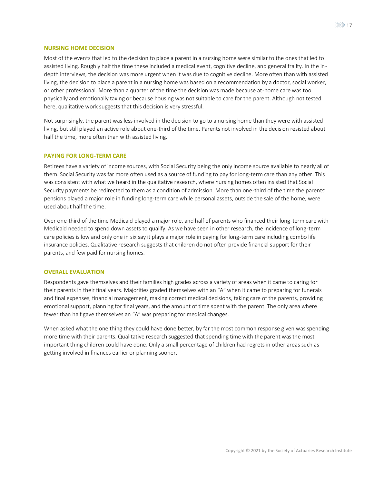#### <span id="page-16-0"></span>**NURSING HOME DECISION**

Most of the events that led to the decision to place a parent in a nursing home were similar to the ones that led to assisted living. Roughly half the time these included a medical event, cognitive decline, and general frailty. In the indepth interviews, the decision was more urgent when it was due to cognitive decline. More often than with assisted living, the decision to place a parent in a nursing home was based on a recommendation by a doctor, social worker, or other professional. More than a quarter of the time the decision was made because at-home care was too physically and emotionally taxing or because housing was not suitable to care for the parent. Although not tested here, qualitative work suggests that this decision is very stressful.

Not surprisingly, the parent was less involved in the decision to go to a nursing home than they were with assisted living, but still played an active role about one-third of the time. Parents not involved in the decision resisted about half the time, more often than with assisted living.

#### <span id="page-16-1"></span>**PAYING FOR LONG-TERM CARE**

Retirees have a variety of income sources, with Social Security being the only income source available to nearly all of them. Social Security was far more often used as a source of funding to pay for long-term care than any other. This was consistent with what we heard in the qualitative research, where nursing homes often insisted that Social Security payments be redirected to them as a condition of admission. More than one-third of the time the parents' pensions played a major role in funding long-term care while personal assets, outside the sale of the home, were used about half the time.

Over one-third of the time Medicaid played a major role, and half of parents who financed their long-term care with Medicaid needed to spend down assets to qualify. As we have seen in other research, the incidence of long-term care policies is low and only one in six say it plays a major role in paying for long-term care including combo life insurance policies. Qualitative research suggests that children do not often provide financial support for their parents, and few paid for nursing homes.

#### <span id="page-16-2"></span>**OVERALL EVALUATION**

Respondents gave themselves and their families high grades across a variety of areas when it came to caring for their parents in their final years. Majorities graded themselves with an "A" when it came to preparing for funerals and final expenses, financial management, making correct medical decisions, taking care of the parents, providing emotional support, planning for final years, and the amount of time spent with the parent. The only area where fewer than half gave themselves an "A" was preparing for medical changes.

When asked what the one thing they could have done better, by far the most common response given was spending more time with their parents. Qualitative research suggested that spending time with the parent was the most important thing children could have done. Only a small percentage of children had regrets in other areas such as getting involved in finances earlier or planning sooner.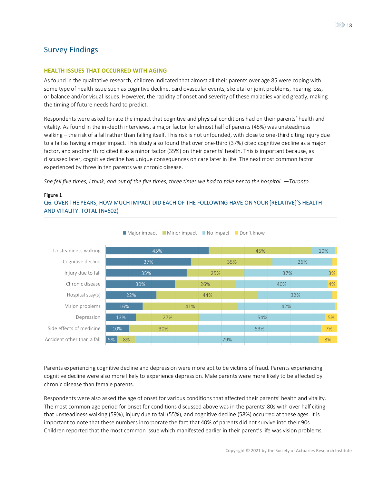## <span id="page-17-0"></span>Survey Findings

## <span id="page-17-1"></span>**HEALTH ISSUES THAT OCCURRED WITH AGING**

As found in the qualitative research, children indicated that almost all their parents over age 85 were coping with some type of health issue such as cognitive decline, cardiovascular events, skeletal or joint problems, hearing loss, or balance and/or visual issues. However, the rapidity of onset and severity of these maladies varied greatly, making the timing of future needs hard to predict.

Respondents were asked to rate the impact that cognitive and physical conditions had on their parents' health and vitality. As found in the in-depth interviews, a major factor for almost half of parents (45%) was unsteadiness walking – the risk of a fall rather than falling itself. This risk is not unfounded, with close to one-third citing injury due to a fall as having a major impact. This study also found that over one-third (37%) cited cognitive decline as a major factor, and another third cited it as a minor factor (35%) on their parents' health. This is important because, as discussed later, cognitive decline has unique consequences on care later in life. The next most common factor experienced by three in ten parents was chronic disease.

*She fell five times, I think, and out of the five times, three times we had to take her to the hospital. —Toronto*

## Figure 1

Q6. OVER THE YEARS, HOW MUCH IMPACT DID EACH OF THE FOLLOWING HAVE ON YOUR [RELATIVE]'S HEALTH AND VITALITY. TOTAL (N=602)



Parents experiencing cognitive decline and depression were more apt to be victims of fraud. Parents experiencing cognitive decline were also more likely to experience depression. Male parents were more likely to be affected by chronic disease than female parents.

Respondents were also asked the age of onset for various conditions that affected their parents' health and vitality. The most common age period for onset for conditions discussed above was in the parents' 80s with over half citing that unsteadiness walking (59%), injury due to fall (55%), and cognitive decline (58%) occurred at these ages. It is important to note that these numbers incorporate the fact that 40% of parents did not survive into their 90s. Children reported that the most common issue which manifested earlier in their parent's life was vision problems.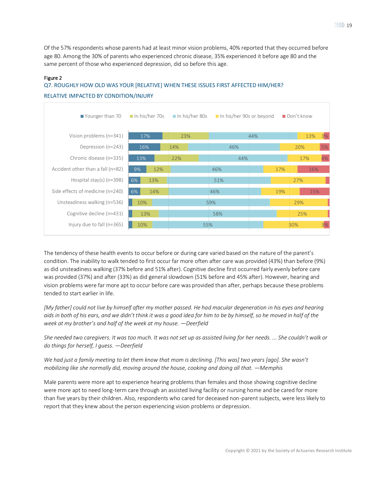Of the 57% respondents whose parents had at least minor vision problems, 40% reported that they occurred before age 80. Among the 30% of parents who experienced chronic disease, 35% experienced it before age 80 and the same percent of those who experienced depression, did so before this age.

## Figure 2

#### 17% 16% 13% 9% 6% 6% 23% 14% 22% 12% 13% 14% 10% 13% 10% 44% 46% 44% 46% 51% 46% 59% 58% 55% 13% 20% 17% 17% 27% 19% 29% 25% 30% 3% 5% 4% 16% 15% 3% Vision problems (n=341) Depression (n=243) Chronic disease (n=335) Accident other than a fall (n=82) Hospital stay(s) (n=398) Side effects of medicine (n=240) Unsteadiness walking (n=536) Cognitive decline (n=431) Injury due to fall (n=365) ■ Younger than 70 In his/her 70s In his/her 80s In his/her 90s or beyond ID Don't know

# Q7. ROUGHLY HOW OLD WAS YOUR [RELATIVE] WHEN THESE ISSUES FIRST AFFECTED HIM/HER? RELATIVE IMPACTED BY CONDITION/INJURY

The tendency of these health events to occur before or during care varied based on the nature of the parent's condition. The inability to walk tended to first occur far more often after care was provided (43%) than before (9%) as did unsteadiness walking (37% before and 51% after). Cognitive decline first occurred fairly evenly before care was provided (37%) and after (33%) as did general slowdown (51% before and 45% after). However, hearing and vision problems were far more apt to occur before care was provided than after, perhaps because these problems tended to start earlier in life.

*[My father] could not live by himself after my mother passed. He had macular degeneration in his eyes and hearing aids in both of his ears, and we didn't think it was a good idea for him to be by himself, so he moved in half of the week at my brother's and half of the week at my house. —Deerfield*

*She needed two caregivers. It was too much. It was not set up as assisted living for her needs. ... She couldn't walk or do things for herself, I guess. —Deerfield*

*We had just a family meeting to let them know that mom is declining. [This was] two years [ago]. She wasn't mobilizing like she normally did, moving around the house, cooking and doing all that. —Memphis*

Male parents were more apt to experience hearing problems than females and those showing cognitive decline were more apt to need long-term care through an assisted living facility or nursing home and be cared for more than five years by their children. Also, respondents who cared for deceased non-parent subjects, were less likely to report that they knew about the person experiencing vision problems or depression.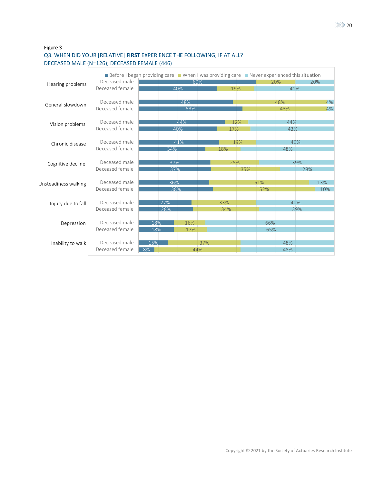## Figure 3 Q3. WHEN DID YOUR [RELATIVE] **FIRST** EXPERIENCE THE FOLLOWING, IF AT ALL? DECEASED MALE (N=126); DECEASED FEMALE (446)

|                      |                 | Before I began providing care When I was providing care Never experienced this situation |     |     |     |     |     |     |     |     |
|----------------------|-----------------|------------------------------------------------------------------------------------------|-----|-----|-----|-----|-----|-----|-----|-----|
| Hearing problems     | Deceased male   |                                                                                          |     | 60% |     |     | 20% |     |     | 20% |
|                      | Deceased female |                                                                                          | 40% |     | 19% |     |     | 41% |     |     |
| General slowdown     | Deceased male   |                                                                                          | 48% |     |     |     |     | 48% |     | 4%  |
|                      | Deceased female |                                                                                          | 53% |     |     |     |     | 43% |     | 4%  |
| Vision problems      | Deceased male   |                                                                                          | 44% |     | 12% |     |     | 44% |     |     |
|                      | Deceased female |                                                                                          | 40% |     | 17% |     |     | 43% |     |     |
| Chronic disease      | Deceased male   |                                                                                          | 41% |     |     | 19% |     | 40% |     |     |
|                      | Deceased female | 34%                                                                                      |     |     | 18% |     |     | 48% |     |     |
| Cognitive decline    | Deceased male   | 37%                                                                                      |     |     | 25% |     |     |     | 39% |     |
|                      | Deceased female | 37%                                                                                      |     |     |     | 35% |     |     | 28% |     |
| Unsteadiness walking | Deceased male   | 36%                                                                                      |     |     |     |     | 51% |     |     | 13% |
|                      | Deceased female | 38%                                                                                      |     |     |     |     | 52% |     |     | 10% |
| Injury due to fall   | Deceased male   | 27%                                                                                      |     |     | 33% |     |     | 40% |     |     |
|                      | Deceased female | 28%                                                                                      |     |     | 34% |     |     |     | 39% |     |
| Depression           | Deceased male   | 18%                                                                                      | 16% |     |     |     | 66% |     |     |     |
|                      | Deceased female | 18%                                                                                      | 17% |     |     |     | 65% |     |     |     |
| Inability to walk    | Deceased male   | 15%                                                                                      |     | 37% |     |     |     | 48% |     |     |
|                      | Deceased female | 8%                                                                                       |     | 44% |     |     |     | 48% |     |     |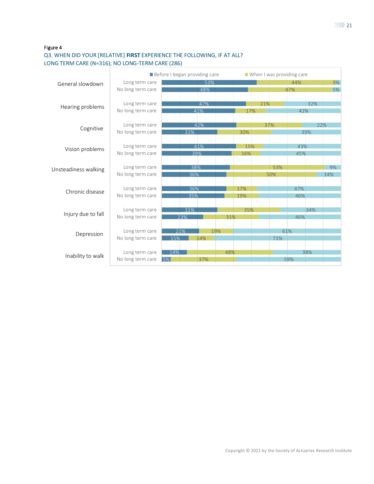## Q3. WHEN DID YOUR [RELATIVE] **FIRST** EXPERIENCE THE FOLLOWING, IF AT ALL? LONG TERM CARE (N=316); NO LONG-TERM CARE (286)

|                      |                   | Before I began providing care | $\blacksquare$ When I was providing care |     |     |     |     |     |     |     |
|----------------------|-------------------|-------------------------------|------------------------------------------|-----|-----|-----|-----|-----|-----|-----|
| General slowdown     | Long term care    |                               | 53%                                      |     |     |     |     | 44% |     | 3%  |
|                      | No long term care |                               | 48%                                      |     |     |     |     | 47% |     | 5%  |
|                      |                   |                               |                                          |     |     |     |     |     |     |     |
|                      | Long term care    |                               | 47%                                      |     |     | 21% |     |     | 32% |     |
| Hearing problems     | No long term care |                               | 41%                                      |     | 17% |     |     | 42% |     |     |
|                      |                   |                               |                                          |     |     |     |     |     |     |     |
|                      | Long term care    |                               | 42%                                      |     |     | 37% |     |     | 22% |     |
| Cognitive            | No long term care | 31%                           |                                          |     | 30% |     |     |     | 39% |     |
|                      |                   |                               |                                          |     |     |     |     |     |     |     |
|                      | Long term care    |                               | 41%                                      |     | 15% |     |     | 43% |     |     |
| Vision problems      | No long term care | 39%                           |                                          |     | 16% |     |     | 45% |     |     |
|                      |                   |                               |                                          |     |     |     |     |     |     |     |
| Unsteadiness walking | Long term care    | 38%                           |                                          |     |     |     | 53% |     |     | 9%  |
|                      | No long term care | 36%                           |                                          |     |     |     | 50% |     |     | 14% |
|                      |                   |                               |                                          |     |     |     |     |     |     |     |
|                      | Long term care    | 36%                           |                                          |     | 17% |     |     | 47% |     |     |
| Chronic disease      | No long term care | 35%                           |                                          |     | 19% |     |     | 46% |     |     |
|                      |                   |                               |                                          |     |     |     |     |     |     |     |
|                      | Long term care    | 31%                           |                                          |     | 35% |     |     |     | 34% |     |
| Injury due to fall   | No long term care | 23%                           |                                          | 31% |     |     |     | 46% |     |     |
|                      |                   |                               |                                          |     |     |     |     |     |     |     |
|                      | Long term care    | 21%                           | 19%                                      |     |     |     |     | 61% |     |     |
| Depression           | No long term care | 15%                           | 14%                                      |     |     |     | 71% |     |     |     |
|                      |                   |                               |                                          |     |     |     |     |     |     |     |
|                      | Long term care    | 14%                           |                                          | 48% |     |     |     |     | 38% |     |
| Inability to walk    | No long term care | 5%                            | 37%                                      |     |     |     |     | 59% |     |     |
|                      |                   |                               |                                          |     |     |     |     |     |     |     |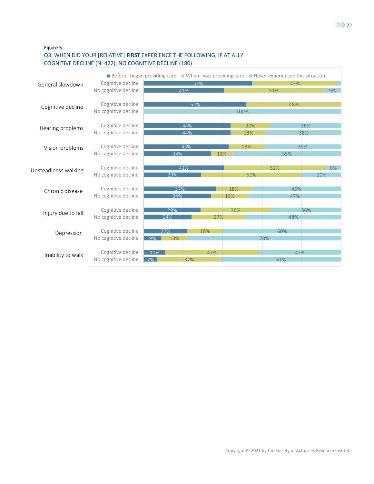## Q3. WHEN DID YOUR [RELATIVE] **FIRST** EXPERIENCE THE FOLLOWING, IF AT ALL? COGNITIVE DECLINE (N=422); NO COGNITIVE DECLINE (180)

|                      |                      | ■ Before I began providing care ■ When I was providing care ■ Never experienced this situation |     |     |      |     |     |     |    |
|----------------------|----------------------|------------------------------------------------------------------------------------------------|-----|-----|------|-----|-----|-----|----|
| General slowdown     | Cognitive decline    |                                                                                                |     | 43% |      |     |     |     |    |
|                      | No cognitive decline |                                                                                                | 41% |     |      |     | 51% |     | 9% |
|                      | Cognitive decline    |                                                                                                | 52% |     |      |     | 48% |     |    |
| Cognitive decline    | No cognitive decline |                                                                                                |     |     | 100% |     |     |     |    |
|                      |                      |                                                                                                |     |     |      |     |     |     |    |
| Hearing problems     | Cognitive decline    |                                                                                                | 44% |     | 20%  |     |     | 36% |    |
|                      | No cognitive decline |                                                                                                | 44% |     | 18%  |     |     | 38% |    |
| Vision problems      | Cognitive decline    |                                                                                                | 43% |     | 18%  |     |     | 39% |    |
|                      | No cognitive decline | 34%                                                                                            |     | 11% |      |     | 55% |     |    |
|                      |                      |                                                                                                |     |     |      |     |     |     |    |
| Unsteadiness walking | Cognitive decline    |                                                                                                | 41% |     |      |     | 52% |     | 8% |
|                      | No cognitive decline | 29%                                                                                            |     |     |      | 51% |     | 20% |    |
| Chronic disease      | Cognitive decline    | 37%                                                                                            |     |     | 18%  |     | 46% |     |    |
|                      | No cognitive decline | 34%                                                                                            |     |     | 19%  |     | 47% |     |    |
|                      |                      |                                                                                                |     |     |      |     |     |     |    |
| Injury due to fall   | Cognitive decline    | 29%                                                                                            |     |     | 36%  |     |     | 36% |    |
|                      | No cognitive decline | 24%                                                                                            |     | 27% |      |     | 48% |     |    |
|                      | Cognitive decline    | 22%                                                                                            |     | 18% |      |     | 60% |     |    |
| Depression           | No cognitive decline | 9%<br>13%                                                                                      |     |     |      | 78% |     |     |    |
|                      |                      |                                                                                                |     |     |      |     |     |     |    |
| Inability to walk    | Cognitive decline    | 11%                                                                                            |     | 47% |      |     | 42% |     |    |
|                      | No cognitive decline | 7%                                                                                             | 32% |     |      |     | 61% |     |    |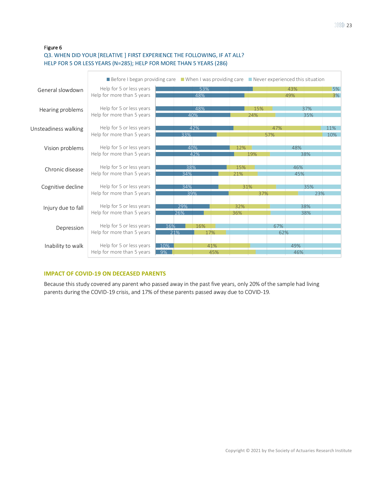## Figure 6 Q3. WHEN DID YOUR [RELATIVE ] FIRST EXPERIENCE THE FOLLOWING, IF AT ALL? HELP FOR 5 OR LESS YEARS (N=285); HELP FOR MORE THAN 5 YEARS (286)

|                      |                            | ■ Before I began providing care ■ When I was providing care ■ Never experienced this situation |     |     |     |     |     |     |     |     |  |
|----------------------|----------------------------|------------------------------------------------------------------------------------------------|-----|-----|-----|-----|-----|-----|-----|-----|--|
| General slowdown     | Help for 5 or less years   |                                                                                                | 53% |     |     |     |     | 43% |     | 5%  |  |
|                      | Help for more than 5 years |                                                                                                | 48% |     |     |     |     | 49% |     | 3%  |  |
|                      |                            |                                                                                                |     |     |     |     |     |     |     |     |  |
| Hearing problems     | Help for 5 or less years   |                                                                                                | 48% |     |     | 15% |     |     | 37% |     |  |
|                      | Help for more than 5 years |                                                                                                | 40% |     |     | 24% |     |     | 35% |     |  |
|                      |                            |                                                                                                |     |     |     |     |     |     |     |     |  |
| Unsteadiness walking | Help for 5 or less years   |                                                                                                | 42% |     |     |     | 47% |     |     | 11% |  |
|                      | Help for more than 5 years |                                                                                                | 33% |     |     |     | 57% |     |     | 10% |  |
|                      |                            |                                                                                                |     |     |     |     |     |     |     |     |  |
| Vision problems      | Help for 5 or less years   |                                                                                                | 40% |     | 12% |     |     | 48% |     |     |  |
|                      | Help for more than 5 years |                                                                                                | 42% |     |     | 19% |     |     | 38% |     |  |
|                      |                            |                                                                                                |     |     |     |     |     |     |     |     |  |
| Chronic disease      | Help for 5 or less years   |                                                                                                | 38% |     | 15% |     |     | 46% |     |     |  |
|                      | Help for more than 5 years | 34%                                                                                            |     |     | 21% |     | 45% |     |     |     |  |
|                      |                            |                                                                                                |     |     |     |     |     |     |     |     |  |
| Cognitive decline    | Help for 5 or less years   |                                                                                                | 34% |     | 31% |     |     |     | 35% |     |  |
|                      | Help for more than 5 years |                                                                                                | 39% |     |     | 37% |     |     | 23% |     |  |
|                      |                            |                                                                                                |     |     |     |     |     |     |     |     |  |
| Injury due to fall   | Help for 5 or less years   |                                                                                                | 29% |     | 32% |     |     |     | 38% |     |  |
|                      | Help for more than 5 years | 26%                                                                                            |     |     | 36% |     |     |     | 38% |     |  |
|                      |                            |                                                                                                |     |     |     |     |     |     |     |     |  |
| Depression           | Help for 5 or less years   | 16%                                                                                            | 16% |     |     |     | 67% |     |     |     |  |
|                      | Help for more than 5 years | 21%                                                                                            |     | 17% |     |     | 62% |     |     |     |  |
|                      |                            |                                                                                                |     |     |     |     |     |     |     |     |  |
| Inability to walk    | Help for 5 or less years   | 10%                                                                                            |     | 41% |     |     |     | 49% |     |     |  |
|                      | Help for more than 5 years | $\overline{9\%}$                                                                               |     | 45% |     |     |     | 46% |     |     |  |

## <span id="page-22-0"></span>**IMPACT OF COVID-19 ON DECEASED PARENTS**

Because this study covered any parent who passed away in the past five years, only 20% of the sample had living parents during the COVID-19 crisis, and 17% of these parents passed away due to COVID-19.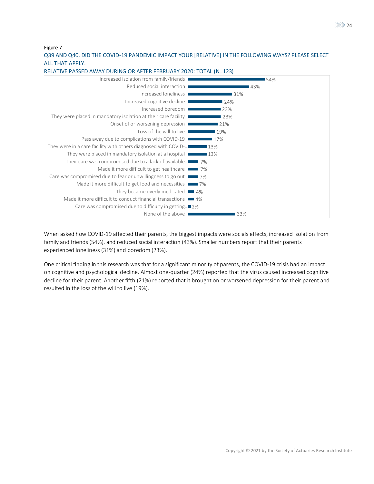Q39 AND Q40. DID THE COVID-19 PANDEMIC IMPACT YOUR [RELATIVE] IN THE FOLLOWING WAYS? PLEASE SELECT ALL THAT APPLY.



RELATIVE PASSED AWAY DURING OR AFTER FEBRUARY 2020: TOTAL (N=123)

When asked how COVID-19 affected their parents, the biggest impacts were socials effects, increased isolation from family and friends (54%), and reduced social interaction (43%). Smaller numbers report that their parents experienced loneliness (31%) and boredom (23%).

One critical finding in this research was that for a significant minority of parents, the COVID-19 crisis had an impact on cognitive and psychological decline. Almost one-quarter (24%) reported that the virus caused increased cognitive decline for their parent. Another fifth (21%) reported that it brought on or worsened depression for their parent and resulted in the loss of the will to live (19%).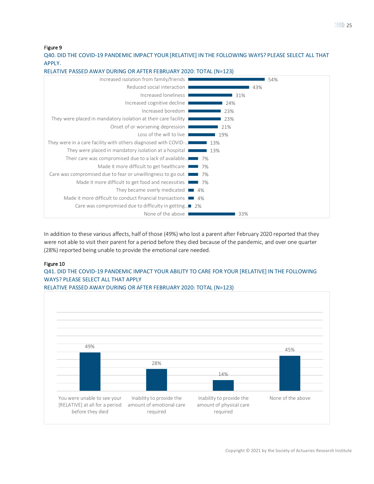Q40. DID THE COVID-19 PANDEMIC IMPACT YOUR [RELATIVE] IN THE FOLLOWING WAYS? PLEASE SELECT ALL THAT APPLY.



RELATIVE PASSED AWAY DURING OR AFTER FEBRUARY 2020: TOTAL (N=123)

In addition to these various affects, half of those (49%) who lost a parent after February 2020 reported that they were not able to visit their parent for a period before they died because of the pandemic, and over one quarter (28%) reported being unable to provide the emotional care needed.

## Figure 10

## Q41. DID THE COVID-19 PANDEMIC IMPACT YOUR ABILITY TO CARE FOR YOUR [RELATIVE] IN THE FOLLOWING WAYS? PLEASE SELECT ALL THAT APPLY



RELATIVE PASSED AWAY DURING OR AFTER FEBRUARY 2020: TOTAL (N=123)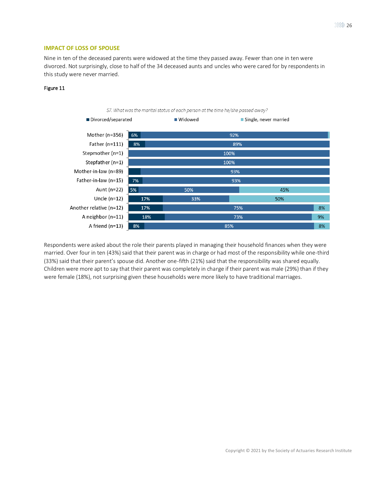## <span id="page-25-0"></span>**IMPACT OF LOSS OF SPOUSE**

Nine in ten of the deceased parents were widowed at the time they passed away. Fewer than one in ten were divorced. Not surprisingly, close to half of the 34 deceased aunts and uncles who were cared for by respondents in this study were never married.

## Figure 11



Respondents were asked about the role their parents played in managing their household finances when they were married. Over four in ten (43%) said that their parent was in charge or had most of the responsibility while one-third (33%) said that their parent's spouse did. Another one-fifth (21%) said that the responsibility was shared equally. Children were more apt to say that their parent was completely in charge if their parent was male (29%) than if they were female (18%), not surprising given these households were more likely to have traditional marriages.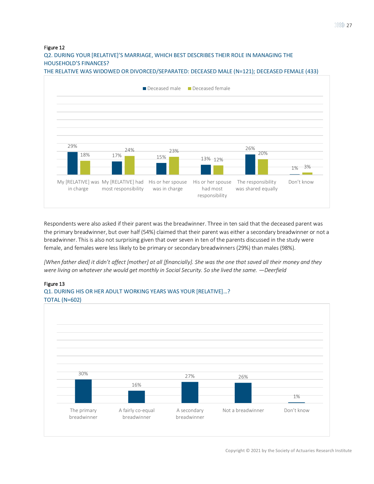Q2. DURING YOUR [RELATIVE]'S MARRIAGE, WHICH BEST DESCRIBES THEIR ROLE IN MANAGING THE HOUSEHOLD'S FINANCES?





Respondents were also asked if their parent was the breadwinner. Three in ten said that the deceased parent was the primary breadwinner, but over half (54%) claimed that their parent was either a secondary breadwinner or not a breadwinner. This is also not surprising given that over seven in ten of the parents discussed in the study were female, and females were less likely to be primary or secondary breadwinners (29%) than males (98%).

*[When father died] it didn't affect [mother] at all [financially]. She was the one that saved all their money and they were living on whatever she would get monthly in Social Security. So she lived the same. —Deerfield*

## Figure 13



# Q1. DURING HIS OR HER ADULT WORKING YEARS WAS YOUR [RELATIVE]…?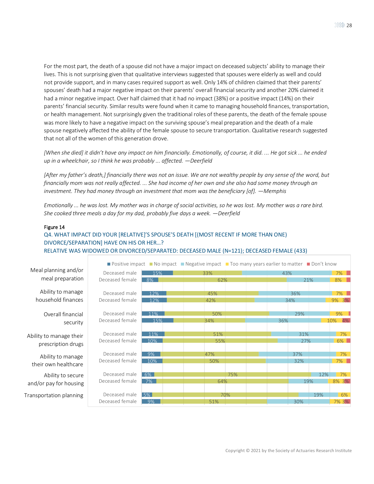For the most part, the death of a spouse did not have a major impact on deceased subjects' ability to manage their

lives. This is not surprising given that qualitative interviews suggested that spouses were elderly as well and could not provide support, and in many cases required support as well. Only 14% of children claimed that their parents' spouses' death had a major negative impact on their parents' overall financial security and another 20% claimed it had a minor negative impact. Over half claimed that it had no impact (38%) or a positive impact (14%) on their parents' financial security. Similar results were found when it came to managing household finances, transportation, or health management. Not surprisingly given the traditional roles of these parents, the death of the female spouse was more likely to have a negative impact on the surviving spouse's meal preparation and the death of a male spouse negatively affected the ability of the female spouse to secure transportation. Qualitative research suggested that not all of the women of this generation drove.

*[When she died] it didn't have any impact on him financially. Emotionally, of course, it did. ... He got sick ... he ended up in a wheelchair, so I think he was probably ... affected. —Deerfield*

*[After my father's death,] financially there was not an issue. We are not wealthy people by any sense of the word, but financially mom was not really affected. ... She had income of her own and she also had some money through an investment. They had money through an investment that mom was the beneficiary [of]. —Memphis* 

*Emotionally ... he was lost. My mother was in charge of social activities, so he was lost. My mother was a rare bird. She cooked three meals a day for my dad, probably five days a week. —Deerfield*

## Figure 14

## Q4. WHAT IMPACT DID YOUR [RELATIVE]'S SPOUSE'S DEATH [(MOST RECENT IF MORE THAN ONE) DIVORCE/SEPARATION] HAVE ON HIS OR HER…? RELATIVE WAS WIDOWED OR DIVORCED/SEPARATED: DECEASED MALE (N=121); DECEASED FEMALE (433)

|                         |                       |     | <b>If positive impact If No impact If Negative impact If Too many years earlier to matter If Don't know</b> |     |     |     |           |  |
|-------------------------|-----------------------|-----|-------------------------------------------------------------------------------------------------------------|-----|-----|-----|-----------|--|
| Meal planning and/or    | Deceased male         | 15% | 33%                                                                                                         |     | 43% |     | 7%        |  |
| meal preparation        | Deceased female       | 8%  | 62%                                                                                                         |     |     | 21% | 8%        |  |
| Ability to manage       | Deceased male         | 12% | 45%                                                                                                         |     | 36% |     | 7%        |  |
| household finances      | Deceased female       | 12% | 42%                                                                                                         |     | 34% |     | 9% 3%     |  |
| Overall financial       | Deceased male         | 11% | 50%                                                                                                         |     | 29% |     | 9%        |  |
| security                | Deceased female       | 15% | 34%                                                                                                         |     | 36% |     | 4%<br>10% |  |
| Ability to manage their | Deceased male         | 11% | 51%                                                                                                         |     | 31% |     | 7%        |  |
| prescription drugs      | Deceased female       | 10% | 55%                                                                                                         |     | 27% |     | $6\%$     |  |
| Ability to manage       | Deceased male         | 9%  | 47%                                                                                                         |     | 37% |     | 7%        |  |
| their own healthcare    | Deceased female       | 10% | 50%                                                                                                         |     | 32% |     | 7%        |  |
| Ability to secure       | Deceased male         | 6%  |                                                                                                             | 75% |     | 12% | 7%        |  |
| and/or pay for housing  | Deceased female<br>7% |     |                                                                                                             | 64% |     | 19% | 8% 3%     |  |
| Transportation planning | Deceased male         | 5%  | 70%                                                                                                         |     |     | 19% | 6%        |  |
|                         | Deceased female       | 9%  | 51%                                                                                                         |     | 30% |     | 7% 3%     |  |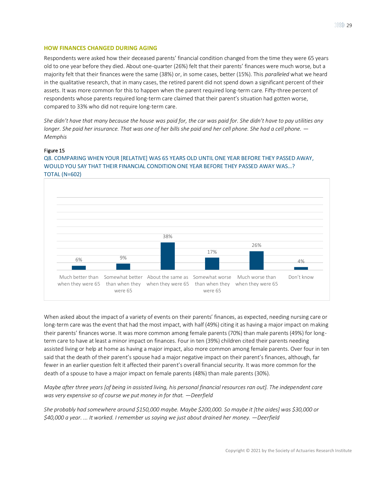## <span id="page-28-0"></span>**HOW FINANCES CHANGED DURING AGING**

Respondents were asked how their deceased parents' financial condition changed from the time they were 65 years old to one year before they died. About one-quarter (26%) felt that their parents' finances were much worse, but a majority felt that their finances were the same (38%) or, in some cases, better (15%). This *paralleled* what we heard in the qualitative research, that in many cases, the retired parent did not spend down a significant percent of their assets. It was more common for this to happen when the parent required long-term care. Fifty-three percent of respondents whose parents required long-term care claimed that their parent's situation had gotten worse, compared to 33% who did not require long-term care.

*She didn't have that many because the house was paid for, the car was paid for. She didn't have to pay utilities any longer. She paid her insurance. That was one of her bills she paid and her cell phone. She had a cell phone. — Memphis*

## Figure 15

Q8. COMPARING WHEN YOUR [RELATIVE] WAS 65 YEARS OLD UNTIL ONE YEAR BEFORE THEY PASSED AWAY, WOULD YOU SAY THAT THEIR FINANCIAL CONDITION ONE YEAR BEFORE THEY PASSED AWAY WAS…? TOTAL (N=602)



When asked about the impact of a variety of events on their parents' finances, as expected, needing nursing care or long-term care was the event that had the most impact, with half (49%) citing it as having a major impact on making their parents' finances worse. It was more common among female parents (70%) than male parents (49%) for longterm care to have at least a minor impact on finances. Four in ten (39%) children cited their parents needing assisted living or help at home as having a major impact, also more common among female parents. Over four in ten said that the death of their parent's spouse had a major negative impact on their parent's finances, although, far fewer in an earlier question felt it affected their parent's overall financial security. It was more common for the death of a spouse to have a major impact on female parents (48%) than male parents (30%).

*Maybe after three years [of being in assisted living, his personal financial resources ran out]. The independent care was very expensive so of course we put money in for that. —Deerfield*

*She probably had somewhere around \$150,000 maybe. Maybe \$200,000. So maybe it [the aides] was \$30,000 or \$40,000 a year. ... It worked. I remember us saying we just about drained her money. —Deerfield*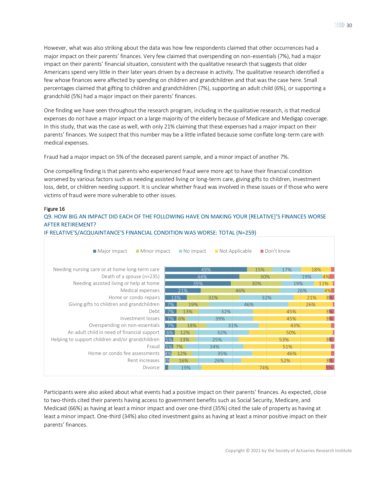However, what was also striking about the data was how few respondents claimed that other occurrences had a major impact on their parents' finances. Very few claimed that overspending on non-essentials (7%), had a major impact on their parents' financial situation, consistent with the qualitative research that suggests that older Americans spend very little in their later years driven by a decrease in activity. The qualitative research identified a few whose finances were affected by spending on children and grandchildren and that was the case here. Small percentages claimed that gifting to children and grandchildren (7%), supporting an adult child (6%), or supporting a grandchild (5%) had a major impact on their parents' finances.

One finding we have seen throughout the research program, including in the qualitative research, is that medical expenses do not have a major impact on a large majority of the elderly because of Medicare and Medigap coverage. In this study, that was the case as well, with only 21% claiming that these expenses had a major impact on their parents' finances. We suspect that this number may be a little inflated because some conflate long-term care with medical expenses.

Fraud had a major impact on 5% of the deceased parent sample, and a minor impact of another 7%.

One compelling finding is that parents who experienced fraud were more apt to have their financial condition worsened by various factors such as needing assisted living or long-term care, giving gifts to children, investment loss, debt, or children needing support. It is unclear whether fraud was involved in these issues or if those who were victims of fraud were more vulnerable to other issues.

## Figure 16

## Q9. HOW BIG AN IMPACT DID EACH OF THE FOLLOWING HAVE ON MAKING YOUR [RELATIVE]'S FINANCES WORSE AFTER RETIREMENT?



IF RELATIVE'S/ACQUAINTANCE'S FINANCIAL CONDITION WAS WORSE: TOTAL (N=259)

Participants were also asked about what events had a positive impact on their parents' finances. As expected, close to two-thirds cited their parents having access to government benefits such as Social Security, Medicare, and Medicaid (66%) as having at least a minor impact and over one-third (35%) cited the sale of property as having at least a minor impact. One-third (34%) also cited investment gains as having at least a minor positive impact on their parents' finances.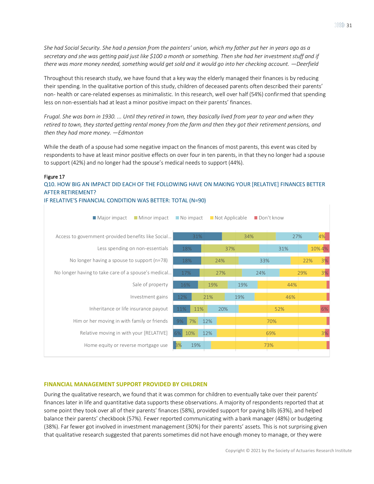*She had Social Security. She had a pension from the painters' union, which my father put her in years ago as a secretary and she was getting paid just like \$100 a month or something. Then she had her investment stuff and if there was more money needed, something would get sold and it would go into her checking account.* —*Deerfield* 

Throughout this research study, we have found that a key way the elderly managed their finances is by reducing their spending. In the qualitative portion of this study, children of deceased parents often described their parents' non- health or care-related expenses as minimalistic. In this research, well over half (54%) confirmed that spending less on non-essentials had at least a minor positive impact on their parents' finances.

*Frugal. She was born in 1930. ... Until they retired in town, they basically lived from year to year and when they retired to town, they started getting rental money from the farm and then they got their retirement pensions, and then they had more money. —Edmonton*

While the death of a spouse had some negative impact on the finances of most parents, this event was cited by respondents to have at least minor positive effects on over four in ten parents, in that they no longer had a spouse to support (42%) and no longer had the spouse's medical needs to support (44%).

## Figure 17

Q10. HOW BIG AN IMPACT DID EACH OF THE FOLLOWING HAVE ON MAKING YOUR [RELATIVE] FINANCES BETTER AFTER RETIREMENT?

## IF RELATIVE'S FINANCIAL CONDITION WAS BETTER: TOTAL (N=90)

| Minor impact<br>■ Major impact                      |              | $\blacksquare$ No impact $\blacksquare$ Not Applicable |     | Don't know |           |
|-----------------------------------------------------|--------------|--------------------------------------------------------|-----|------------|-----------|
| Access to government-provided benefits like Social  | 31%          |                                                        | 34% | 27%        | 4%        |
| Less spending on non-essentials                     | 18%          | 37%                                                    |     | 31%        | 10% 4%    |
| No longer having a spouse to support ( $n=78$ )     | 18%          | 24%                                                    | 33% |            | 3%<br>22% |
| No longer having to take care of a spouse's medical | 17%          | 27%                                                    | 24% |            | 3%<br>29% |
| Sale of property                                    | 16%          | 19%                                                    | 19% | 44%        |           |
| Investment gains                                    | 12%          | 21%                                                    | 19% | 46%        |           |
| Inheritance or life insurance payout                | 11%<br>11%   | 20%                                                    |     | 52%        | 6%        |
| Him or her moving in with family or friends         | 7%<br>9%     | 12%                                                    |     | 70%        |           |
| Relative moving in with your [RELATIVE]             | $6\%$<br>10% | 12%                                                    |     | 69%        | 3%        |
| Home equity or reverse mortgage use                 | 3%<br>19%    |                                                        |     | 73%        |           |

#### <span id="page-30-0"></span>**FINANCIAL MANAGEMENT SUPPORT PROVIDED BY CHILDREN**

During the qualitative research, we found that it was common for children to eventually take over their parents' finances later in life and quantitative data supports these observations. A majority of respondents reported that at some point they took over all of their parents' finances (58%), provided support for paying bills (63%), and helped balance their parents' checkbook (57%). Fewer reported communicating with a bank manager (48%) or budgeting (38%). Far fewer got involved in investment management (30%) for their parents' assets. This is not surprising given that qualitative research suggested that parents sometimes did not have enough money to manage, or they were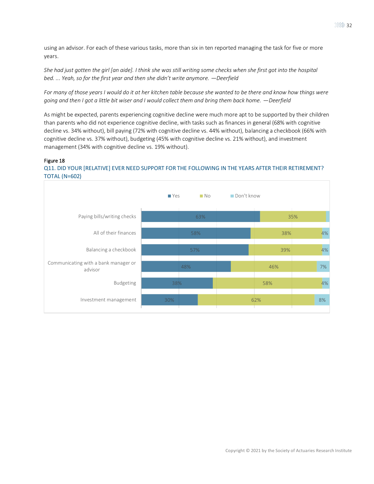using an advisor. For each of these various tasks, more than six in ten reported managing the task for five or more years.

*She had just gotten the girl [an aide]. I think she was still writing some checks when she first got into the hospital bed. ... Yeah, so for the first year and then she didn't write anymore. —Deerfield*

*For many of those years I would do it at her kitchen table because she wanted to be there and know how things were going and then I got a little bit wiser and I would collect them and bring them back home.*  $-\text{Desfield}$ 

As might be expected, parents experiencing cognitive decline were much more apt to be supported by their children than parents who did not experience cognitive decline, with tasks such as finances in general (68% with cognitive decline vs. 34% without), bill paying (72% with cognitive decline vs. 44% without), balancing a checkbook (66% with cognitive decline vs. 37% without), budgeting (45% with cognitive decline vs. 21% without), and investment management (34% with cognitive decline vs. 19% without).

## Figure 18

## Q11. DID YOUR [RELATIVE] EVER NEED SUPPORT FOR THE FOLLOWING IN THE YEARS AFTER THEIR RETIREMENT? TOTAL (N=602)

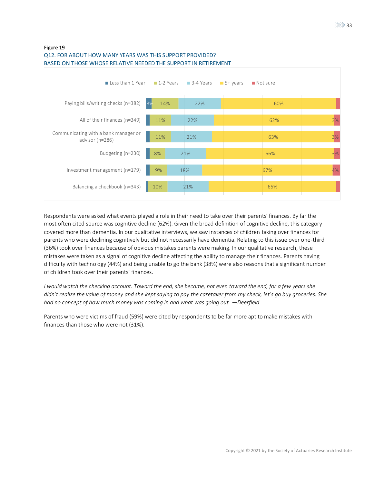

## Q12. FOR ABOUT HOW MANY YEARS WAS THIS SUPPORT PROVIDED? BASED ON THOSE WHOSE RELATIVE NEEDED THE SUPPORT IN RETIREMENT

Respondents were asked what events played a role in their need to take over their parents' finances. By far the most often cited source was cognitive decline (62%). Given the broad definition of cognitive decline, this category covered more than dementia. In our qualitative interviews, we saw instances of children taking over finances for parents who were declining cognitively but did not necessarily have dementia. Relating to this issue over one-third (36%) took over finances because of obvious mistakes parents were making. In our qualitative research, these mistakes were taken as a signal of cognitive decline affecting the ability to manage their finances. Parents having difficulty with technology (44%) and being unable to go the bank (38%) were also reasons that a significant number of children took over their parents' finances.

*I would watch the checking account. Toward the end, she became, not even toward the end, for a few years she didn't realize the value of money and she kept saying to pay the caretaker from my check, let's go buy groceries. She had no concept of how much money was coming in and what was going out. —Deerfield*

Parents who were victims of fraud (59%) were cited by respondents to be far more apt to make mistakes with finances than those who were not (31%).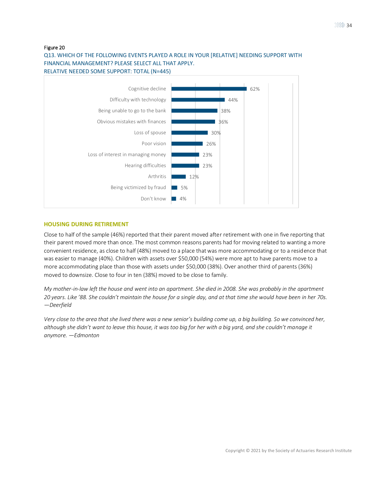## Q13. WHICH OF THE FOLLOWING EVENTS PLAYED A ROLE IN YOUR [RELATIVE] NEEDING SUPPORT WITH FINANCIAL MANAGEMENT? PLEASE SELECT ALL THAT APPLY. RELATIVE NEEDED SOME SUPPORT: TOTAL (N=445)



## <span id="page-33-0"></span>**HOUSING DURING RETIREMENT**

Close to half of the sample (46%) reported that their parent moved after retirement with one in five reporting that their parent moved more than once. The most common reasons parents had for moving related to wanting a more convenient residence, as close to half (48%) moved to a place that was more accommodating or to a residence that was easier to manage (40%). Children with assets over \$50,000 (54%) were more apt to have parents move to a more accommodating place than those with assets under \$50,000 (38%). Over another third of parents (36%) moved to downsize. Close to four in ten (38%) moved to be close to family.

*My mother-in-law left the house and went into an apartment. She died in 2008. She was probably in the apartment 20 years. Like '88. She couldn't maintain the house for a single day, and at that time she would have been in her 70s. —Deerfield*

*Very close to the area that she lived there was a new senior's building come up, a big building. So we convinced her, although she didn't want to leave this house, it was too big for her with a big yard, and she couldn't manage it anymore. —Edmonton*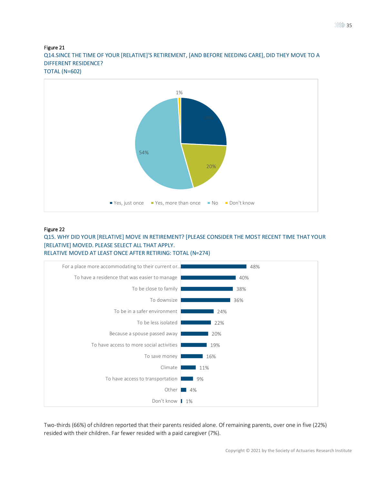Q14.SINCE THE TIME OF YOUR [RELATIVE]'S RETIREMENT, [AND BEFORE NEEDING CARE], DID THEY MOVE TO A DIFFERENT RESIDENCE? TOTAL (N=602)



## Figure 22

Q15. WHY DID YOUR [RELATIVE] MOVE IN RETIREMENT? [PLEASE CONSIDER THE MOST RECENT TIME THAT YOUR [RELATIVE] MOVED. PLEASE SELECT ALL THAT APPLY.



Two-thirds (66%) of children reported that their parents resided alone. Of remaining parents, over one in five (22%) resided with their children. Far fewer resided with a paid caregiver (7%).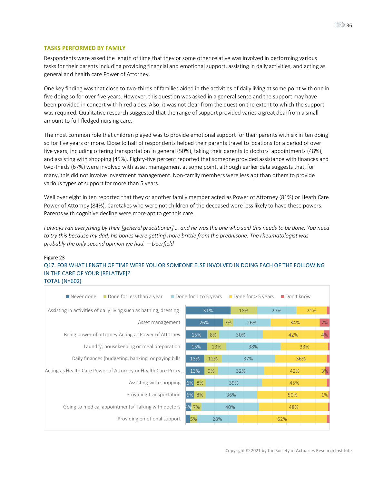## <span id="page-35-0"></span>**TASKS PERFORMED BY FAMILY**

Respondents were asked the length of time that they or some other relative was involved in performing various tasks for their parents including providing financial and emotional support, assisting in daily activities, and acting as general and health care Power of Attorney.

One key finding was that close to two-thirds of families aided in the activities of daily living at some point with one in five doing so for over five years. However, this question was asked in a general sense and the support may have been provided in concert with hired aides. Also, it was not clear from the question the extent to which the support was required. Qualitative research suggested that the range of support provided varies a great deal from a small amount to full-fledged nursing care.

The most common role that children played was to provide emotional support for their parents with six in ten doing so for five years or more. Close to half of respondents helped their parents travel to locations for a period of over five years, including offering transportation in general (50%), taking their parents to doctors' appointments (48%), and assisting with shopping (45%). Eighty-five percent reported that someone provided assistance with finances and two-thirds (67%) were involved with asset management at some point, although earlier data suggests that, for many, this did not involve investment management. Non-family members were less apt than others to provide various types of support for more than 5 years.

Well over eight in ten reported that they or another family member acted as Power of Attorney (81%) or Heath Care Power of Attorney (84%). Caretakes who were not children of the deceased were less likely to have these powers. Parents with cognitive decline were more apt to get this care.

*I always ran everything by their [general practitioner] … and he was the one who said this needs to be done. You need to try this because my dad, his bones were getting more brittle from the prednisone. The rheumatologist was probably the only second opinion we had. —Deerfield*

## Figure 23

Q17. FOR WHAT LENGTH OF TIME WERE YOU OR SOMEONE ELSE INVOLVED IN DOING EACH OF THE FOLLOWING IN THE CARE OF YOUR [RELATIVE]? TOTAL (N=602)

| ■ Never done<br>Done for less than a year                         | Done for 1 to 5 years |     |     |     | Done for $>$ 5 years | Don't know |     |
|-------------------------------------------------------------------|-----------------------|-----|-----|-----|----------------------|------------|-----|
| Assisting in activities of daily living such as bathing, dressing |                       | 31% |     | 18% | 27%                  |            | 21% |
| Asset management                                                  | 26%                   |     | 7%  | 26% |                      | 34%        | 7%  |
| Being power of attorney Acting as Power of Attorney               | 15%                   | 8%  | 30% |     |                      | 42%        | 4%  |
| Laundry, housekeeping or meal preparation                         | 15%                   | 13% |     | 38% |                      |            | 33% |
| Daily finances (budgeting, banking, or paying bills               | 13%                   | 12% |     | 37% |                      |            | 36% |
| Acting as Health Care Power of Attorney or Health Care Proxy      | 13%                   | 9%  | 32% |     |                      | 42%        | 3%  |
| Assisting with shopping                                           | 6% 8%                 |     | 39% |     |                      | 45%        |     |
| Providing transportation                                          | 6% 8%                 |     | 36% |     |                      | 50%        | 1%  |
| Going to medical appointments/ Talking with doctors               | 4% 7%                 |     | 40% |     |                      | 48%        |     |
| Providing emotional support                                       | 5%                    | 28% |     |     |                      | 62%        |     |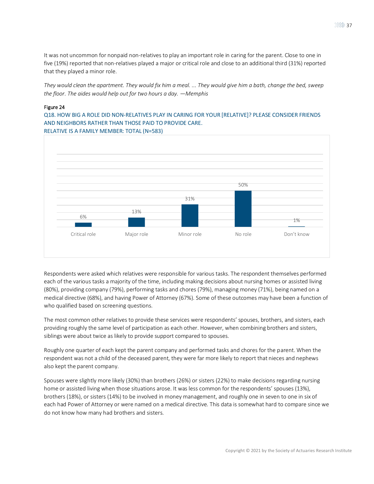It was not uncommon for nonpaid non-relatives to play an important role in caring for the parent. Close to one in five (19%) reported that non-relatives played a major or critical role and close to an additional third (31%) reported that they played a minor role.

*They would clean the apartment. They would fix him a meal. ... They would give him a bath, change the bed, sweep the floor. The aides would help out for two hours a day. —Memphis*

#### Figure 24

Q18. HOW BIG A ROLE DID NON-RELATIVES PLAY IN CARING FOR YOUR [RELATIVE]? PLEASE CONSIDER FRIENDS AND NEIGHBORS RATHER THAN THOSE PAID TO PROVIDE CARE. RELATIVE IS A FAMILY MEMBER: TOTAL (N=583)



Respondents were asked which relatives were responsible for various tasks. The respondent themselves performed each of the various tasks a majority of the time, including making decisions about nursing homes or assisted living (80%), providing company (79%), performing tasks and chores (79%), managing money (71%), being named on a medical directive (68%), and having Power of Attorney (67%). Some of these outcomes may have been a function of who qualified based on screening questions.

The most common other relatives to provide these services were respondents' spouses, brothers, and sisters, each providing roughly the same level of participation as each other. However, when combining brothers and sisters, siblings were about twice as likely to provide support compared to spouses.

Roughly one quarter of each kept the parent company and performed tasks and chores for the parent. When the respondent was not a child of the deceased parent, they were far more likely to report that nieces and nephews also kept the parent company.

Spouses were slightly more likely (30%) than brothers (26%) or sisters (22%) to make decisions regarding nursing home or assisted living when those situations arose. It was less common for the respondents' spouses (13%), brothers (18%), or sisters (14%) to be involved in money management, and roughly one in seven to one in six of each had Power of Attorney or were named on a medical directive. This data is somewhat hard to compare since we do not know how many had brothers and sisters.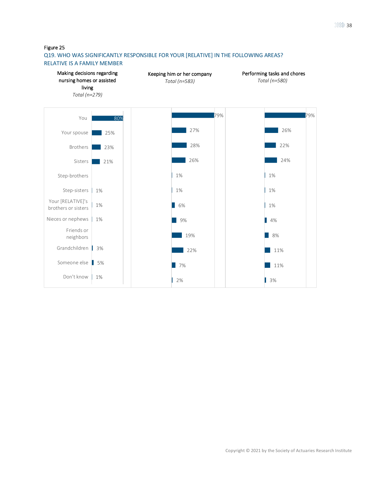## Q19. WHO WAS SIGNIFICANTLY RESPONSIBLE FOR YOUR [RELATIVE] IN THE FOLLOWING AREAS? RELATIVE IS A FAMILY MEMBER

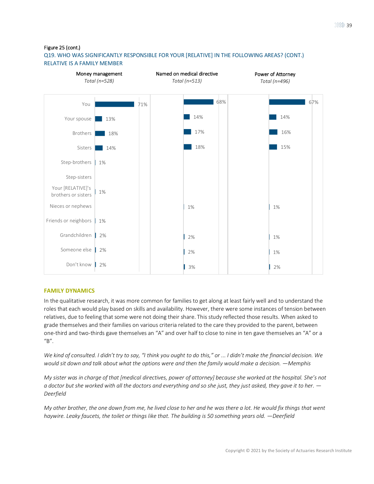Figure 25 (cont.)

## Q19. WHO WAS SIGNIFICANTLY RESPONSIBLE FOR YOUR [RELATIVE] IN THE FOLLOWING AREAS? (CONT.) RELATIVE IS A FAMILY MEMBER



### **FAMILY DYNAMICS**

In the qualitative research, it was more common for families to get along at least fairly well and to understand the roles that each would play based on skills and availability. However, there were some instances of tension between relatives, due to feeling that some were not doing their share. This study reflected those results. When asked to grade themselves and their families on various criteria related to the care they provided to the parent, between one-third and two-thirds gave themselves an "A" and over half to close to nine in ten gave themselves an "A" or a "B".

*We kind of consulted. I didn't try to say, "I think you ought to do this," or ... I didn't make the financial decision. We would sit down and talk about what the options were and then the family would make a decision. —Memphis*

*My sister was in charge of that [medical directives, power of attorney] because she worked at the hospital. She's not a doctor but she worked with all the doctors and everything and so she just, they just asked, they gave it to her. — Deerfield*

*My other brother, the one down from me, he lived close to her and he was there a lot. He would fix things that went haywire. Leaky faucets, the toilet or things like that. The building is 50 something years old. —Deerfield*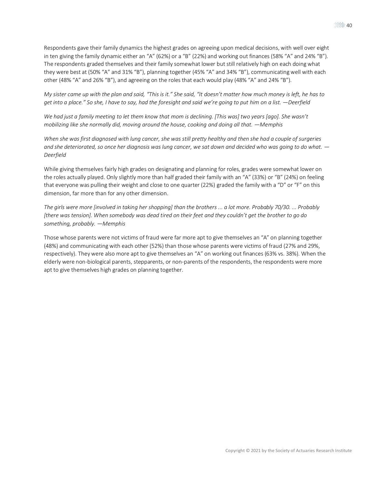Respondents gave their family dynamics the highest grades on agreeing upon medical decisions, with well over eight in ten giving the family dynamic either an "A" (62%) or a "B" (22%) and working out finances (58% "A" and 24% "B"). The respondents graded themselves and their family somewhat lower but still relatively high on each doing what they were best at (50% "A" and 31% "B"), planning together (45% "A" and 34% "B"), communicating well with each other (48% "A" and 26% "B"), and agreeing on the roles that each would play (48% "A" and 24% "B").

*My sister came up with the plan and said, "This is it." She said, "It doesn't matter how much money is left, he has to get into a place." So she, I have to say, had the foresight and said we're going to put him on a list. —Deerfield*

*We had just a family meeting to let them know that mom is declining. [This was] two years [ago]. She wasn't mobilizing like she normally did, moving around the house, cooking and doing all that. —Memphis*

*When she was first diagnosed with lung cancer, she was still pretty healthy and then she had a couple of surgeries and she deteriorated, so once her diagnosis was lung cancer, we sat down and decided who was going to do what. — Deerfield*

While giving themselves fairly high grades on designating and planning for roles, grades were somewhat lower on the roles actually played. Only slightly more than half graded their family with an "A" (33%) or "B" (24%) on feeling that everyone was pulling their weight and close to one quarter (22%) graded the family with a "D" or "F" on this dimension, far more than for any other dimension.

*The girls were more [involved in taking her shopping] than the brothers ... a lot more. Probably 70/30. ... Probably [there was tension]. When somebody was dead tired on their feet and they couldn't get the brother to go do something, probably. —Memphis*

Those whose parents were not victims of fraud were far more apt to give themselves an "A" on planning together (48%) and communicating with each other (52%) than those whose parents were victims of fraud (27% and 29%, respectively). They were also more apt to give themselves an "A" on working out finances (63% vs. 38%). When the elderly were non-biological parents, stepparents, or non-parents of the respondents, the respondents were more apt to give themselves high grades on planning together.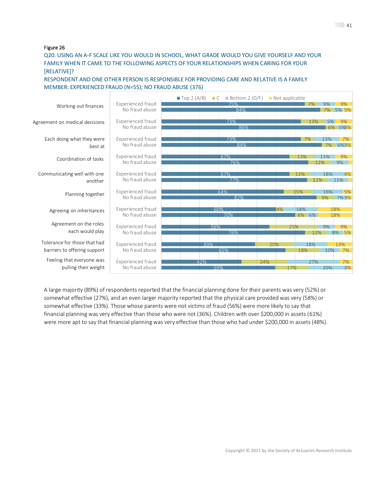Q20. USING AN A-F SCALE LIKE YOU WOULD IN SCHOOL, WHAT GRADE WOULD YOU GIVE YOURSELF AND YOUR FAMILY WHEN IT CAME TO THE FOLLOWING ASPECTS OF YOUR RELATIONSHIPS WHEN CARING FOR YOUR [RELATIVE]?

RESPONDENT AND ONE OTHER PERSON IS RESPONSIBLE FOR PROVIDING CARE AND RELATIVE IS A FAMILY MEMBER: EXPERIENCED FRAUD (N=55); NO FRAUD ABUSE (376)

|                                |                          | $\blacksquare$ Top 2 (A/B)<br>$\Box$ C | Bottom 2 $(D/F)$ |     | Not applicable |       |     |          |
|--------------------------------|--------------------------|----------------------------------------|------------------|-----|----------------|-------|-----|----------|
| Working out finances           | <b>Experienced fraud</b> |                                        | 75%              |     |                | 7%    | 9%  | 9%       |
|                                | No fraud abuse           |                                        | 84%              |     |                |       |     | 7% 5% 5% |
|                                |                          |                                        |                  |     |                |       |     |          |
| Agreement on medical decisions | Experienced fraud        |                                        | 73%              |     |                | 13%   | 5%  | 9%       |
|                                | No fraud abuse           |                                        | 86%              |     |                |       |     | 6% 5%8%  |
|                                |                          |                                        |                  |     |                |       |     |          |
| Each doing what they were      | Experienced fraud        |                                        | 73%              |     |                | 7%    | 13% | 7%       |
| best at                        | No fraud abuse           |                                        | 84%              |     |                |       | 7%  | 6%3%     |
|                                |                          |                                        |                  |     |                |       |     |          |
| Coordination of tasks          | <b>Experienced fraud</b> |                                        | 67%              |     |                | 13%   | 11% | 9%       |
|                                | No fraud abuse           |                                        | 76%              |     |                |       | 12% | 9%       |
| Communicating well with one    | Experienced fraud        |                                        | 67%              |     | 11%            |       | 18% | 4%       |
|                                | No fraud abuse           |                                        | 77%              |     |                |       | 11% | 11%      |
| another                        |                          |                                        |                  |     |                |       |     |          |
|                                | <b>Experienced fraud</b> |                                        | 64%              |     | 15%            |       | 16% | 5%       |
| Planning together              | No fraud abuse           |                                        | 82%              |     |                |       | 9%  | 7%3%     |
|                                |                          |                                        |                  |     |                |       |     |          |
|                                | <b>Experienced fraud</b> |                                        | 60%              |     | $ 4\% $        | 18%   |     | 18%      |
| Agreeing on inheritances       | No fraud abuse           |                                        | 70%              |     |                | 6% 6% |     | 18%      |
|                                |                          |                                        |                  |     |                |       |     |          |
| Agreement on the roles         | <b>Experienced fraud</b> | 56%                                    |                  |     | 25%            |       | 9%  | 9%       |
| each would play                | No fraud abuse           |                                        | 76%              |     |                |       | 12% | 8% 5%    |
|                                |                          |                                        |                  |     |                |       |     |          |
| Tolerance for those that had   | Experienced fraud        | 49%                                    |                  | 20% |                | 18%   |     | 13%      |
| barriers to offering support   | No fraud abuse           |                                        | 65%              |     |                | 18%   |     | 10% 7%   |
|                                |                          |                                        |                  |     |                |       |     |          |
| Feeling that everyone was      | Experienced fraud        | 42%                                    |                  | 24% |                | 27%   |     | 7%       |
| pulling their weight           | No fraud abuse           |                                        | 59%              |     | 17%            |       | 20% | 3%       |

A large majority (89%) of respondents reported that the financial planning done for their parents was very (52%) or somewhat effective (27%), and an even larger majority reported that the physical care provided was very (58%) or somewhat effective (33%). Those whose parents were not victims of fraud (56%) were more likely to say that financial planning was very effective than those who were not (36%). Children with over \$200,000 in assets (61%) were more apt to say that financial planning was very effective than those who had under \$200,000 in assets (48%).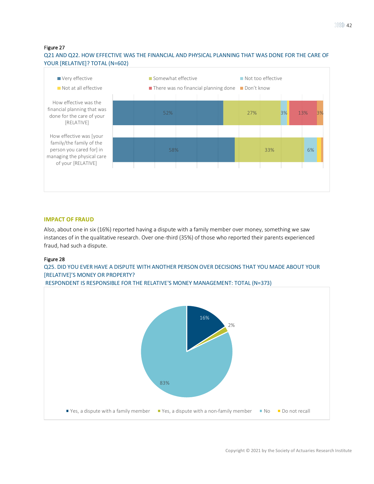## Q21 AND Q22. HOW EFFECTIVE WAS THE FINANCIAL AND PHYSICAL PLANNING THAT WAS DONE FOR THE CARE OF YOUR [RELATIVE]? TOTAL (N=602)



#### **IMPACT OF FRAUD**

Also, about one in six (16%) reported having a dispute with a family member over money, something we saw instances of in the qualitative research. Over one-third (35%) of those who reported their parents experienced fraud, had such a dispute.

#### Figure 28

## Q25. DID YOU EVER HAVE A DISPUTE WITH ANOTHER PERSON OVER DECISIONS THAT YOU MADE ABOUT YOUR [RELATIVE]'S MONEY OR PROPERTY?

RESPONDENT IS RESPONSIBLE FOR THE RELATIVE'S MONEY MANAGEMENT: TOTAL (N=373)

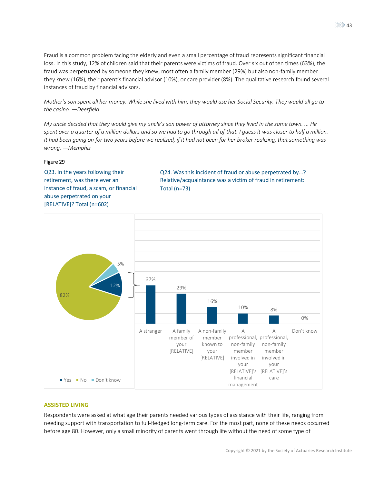Fraud is a common problem facing the elderly and even a small percentage of fraud represents significant financial loss. In this study, 12% of children said that their parents were victims of fraud. Over six out of ten times (63%), the fraud was perpetuated by someone they knew, most often a family member (29%) but also non-family member they knew (16%), their parent's financial advisor (10%), or care provider (8%). The qualitative research found several instances of fraud by financial advisors.

*Mother's son spent all her money. While she lived with him, they would use her Social Security. They would all go to the casino. —Deerfield*

*My uncle decided that they would give my uncle's son power of attorney since they lived in the same town. ... He spent over a quarter of a million dollars and so we had to go through all of that. I guess it was closer to half a million. It had been going on for two years before we realized, if it had not been for her broker realizing, that something was wrong. —Memphis*

#### Figure 29

Q23. In the years following their retirement, was there ever an instance of fraud, a scam, or financial abuse perpetrated on your [RELATIVE]? Total (n=602)

Q24. Was this incident of fraud or abuse perpetrated by…? Relative/acquaintance was a victim of fraud in retirement: Total (n=73)



### **ASSISTED LIVING**

Respondents were asked at what age their parents needed various types of assistance with their life, ranging from needing support with transportation to full-fledged long-term care. For the most part, none of these needs occurred before age 80. However, only a small minority of parents went through life without the need of some type of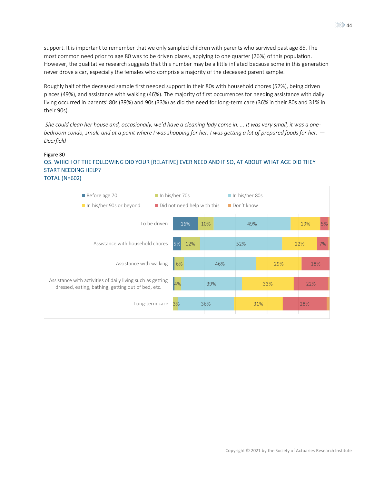support. It is important to remember that we only sampled children with parents who survived past age 85. The most common need prior to age 80 was to be driven places, applying to one quarter (26%) of this population. However, the qualitative research suggests that this number may be a little inflated because some in this generation never drove a car, especially the females who comprise a majority of the deceased parent sample.

Roughly half of the deceased sample first needed support in their 80s with household chores (52%), being driven places (49%), and assistance with walking (46%). The majority of first occurrences for needing assistance with daily living occurred in parents' 80s (39%) and 90s (33%) as did the need for long-term care (36% in their 80s and 31% in their 90s).

*She could clean her house and, occasionally, we'd have a cleaning lady come in. ... It was very small, it was a onebedroom condo, small, and at a point where I was shopping for her, I was getting a lot of prepared foods for her. — Deerfield*

## Figure 30 Q5. WHICH OF THE FOLLOWING DID YOUR [RELATIVE] EVER NEED AND IF SO, AT ABOUT WHAT AGE DID THEY START NEEDING HELP? TOTAL (N=602)

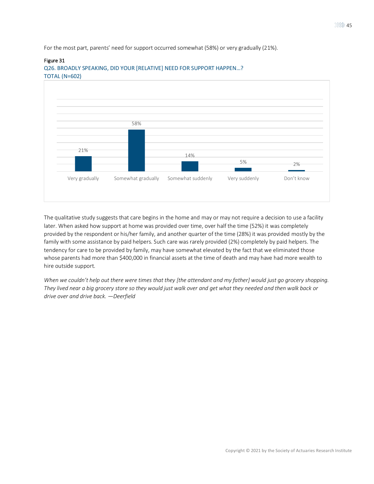For the most part, parents' need for support occurred somewhat (58%) or very gradually (21%).

### Figure 31



Q26. BROADLY SPEAKING, DID YOUR [RELATIVE] NEED FOR SUPPORT HAPPEN…? TOTAL (N=602)

The qualitative study suggests that care begins in the home and may or may not require a decision to use a facility later. When asked how support at home was provided over time, over half the time (52%) it was completely provided by the respondent or his/her family, and another quarter of the time (28%) it was provided mostly by the family with some assistance by paid helpers. Such care was rarely provided (2%) completely by paid helpers. The tendency for care to be provided by family, may have somewhat elevated by the fact that we eliminated those whose parents had more than \$400,000 in financial assets at the time of death and may have had more wealth to hire outside support.

*When we couldn't help out there were times that they [the attendant and my father] would just go grocery shopping. They lived near a big grocery store so they would just walk over and get what they needed and then walk back or drive over and drive back. —Deerfield*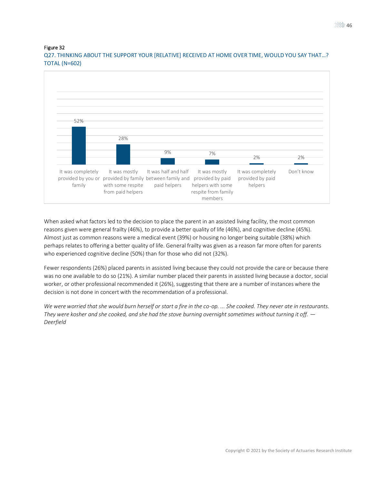Q27. THINKING ABOUT THE SUPPORT YOUR [RELATIVE] RECEIVED AT HOME OVER TIME, WOULD YOU SAY THAT…? TOTAL (N=602)



When asked what factors led to the decision to place the parent in an assisted living facility, the most common reasons given were general frailty (46%), to provide a better quality of life (46%), and cognitive decline (45%). Almost just as common reasons were a medical event (39%) or housing no longer being suitable (38%) which perhaps relates to offering a better quality of life. General frailty was given as a reason far more often for parents who experienced cognitive decline (50%) than for those who did not (32%).

Fewer respondents (26%) placed parents in assisted living because they could not provide the care or because there was no one available to do so (21%). A similar number placed their parents in assisted living because a doctor, social worker, or other professional recommended it (26%), suggesting that there are a number of instances where the decision is not done in concert with the recommendation of a professional.

*We were worried that she would burn herself or start a fire in the co-op. ... She cooked. They never ate in restaurants. They were kosher and she cooked, and she had the stove burning overnight sometimes without turning it off. — Deerfield*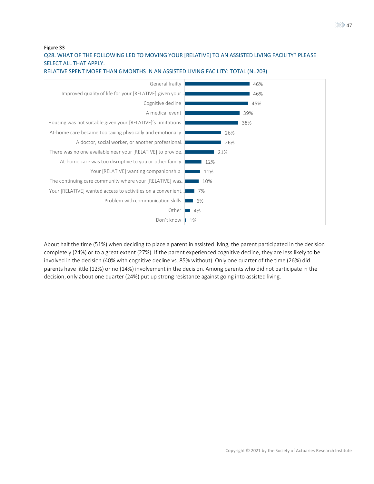## Q28. WHAT OF THE FOLLOWING LED TO MOVING YOUR [RELATIVE] TO AN ASSISTED LIVING FACILITY? PLEASE SELECT ALL THAT APPLY.



RELATIVE SPENT MORE THAN 6 MONTHS IN AN ASSISTED LIVING FACILITY: TOTAL (N=203)

About half the time (51%) when deciding to place a parent in assisted living, the parent participated in the decision completely (24%) or to a great extent (27%). If the parent experienced cognitive decline, they are less likely to be involved in the decision (40% with cognitive decline vs. 85% without). Only one quarter of the time (26%) did parents have little (12%) or no (14%) involvement in the decision. Among parents who did not participate in the decision, only about one quarter (24%) put up strong resistance against going into assisted living.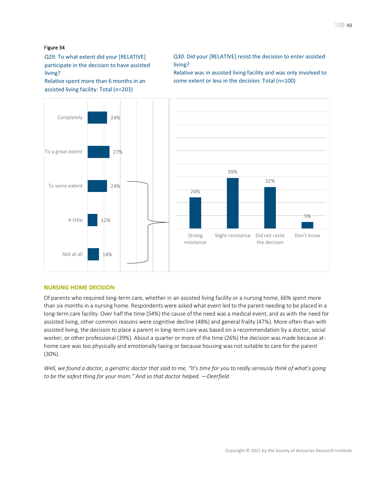Q29. To what extent did your [RELATIVE] living? participate in the decision to have assisted

 Relative spent more than 6 months in an assisted living facility: Total (n=203)

Q30. Did your [RELATIVE] resist the decision to enter assisted living?

Relative was in assisted living facility and was only involved to some extent or less in the decision: Total (n=100)



#### **NURSING HOME DECISION**

Of parents who required long-term care, whether in an assisted living facility or a nursing home, 66% spent more than six months in a nursing home. Respondents were asked what event led to the parent needing to be placed in a long-term care facility. Over half the time (54%) the cause of the need was a medical event, and as with the need for assisted living, other common reasons were cognitive decline (48%) and general frailty (47%). More often than with assisted living, the decision to place a parent in long-term care was based on a recommendation by a doctor, social worker, or other professional (39%). About a quarter or more of the time (26%) the decision was made because athome care was too physically and emotionally taxing or because housing was not suitable to care for the parent (30%).

*Well, we found a doctor, a geriatric doctor that said to me, "It's time for you to really seriously think of what's going to be the safest thing for your mom." And so that doctor helped. —Deerfield*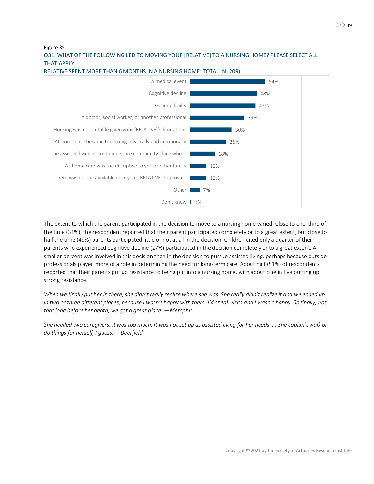$\ggg$  49

Figure 35

## Q31. WHAT OF THE FOLLOWING LED TO MOVING YOUR [RELATIVE] TO A NURSING HOME? PLEASE SELECT ALL THAT APPLY.



RELATIVE SPENT MORE THAN 6 MONTHS IN A NURSING HOME: TOTAL (N=209)

The extent to which the parent participated in the decision to move to a nursing home varied. Close to one-third of the time (31%), the respondent reported that their parent participated completely or to a great extent, but close to half the time (49%) parents participated little or not at all in the decision. Children cited only a quarter of their parents who experienced cognitive decline (27%) participated in the decision completely or to a great extent. A smaller percent was involved in this decision than in the decision to pursue assisted living, perhaps because outside professionals played more of a role in determining the need for long-term care. About half (51%) of respondents reported that their parents put up resistance to being put into a nursing home, with about one in five putting up strong resistance.

*When we finally put her in there, she didn't really realize where she was. She really didn't realize it and we ended up in two or three different places, because I wasn't happy with them. I'd sneak visits and I wasn't happy. So finally, not that long before her death, we got a great place. —Memphis*

*She needed two caregivers. It was too much. It was not set up as assisted living for her needs. ... She couldn't walk or do things for herself, I guess. —Deerfield*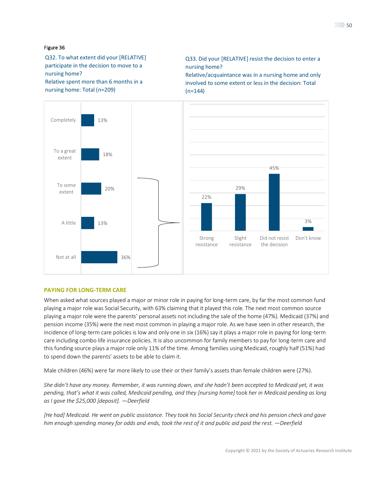Q32. To what extent did your [RELATIVE] participate in the decision to move to a nursing home? Relative spent more than 6 months in a nursing home: Total (n=209)

Q33. Did your [RELATIVE] resist the decision to enter a nursing home?

Relative/acquaintance was in a nursing home and only involved to some extent or less in the decision: Total  $(n=144)$ 



### **PAYING FOR LONG-TERM CARE**

When asked what sources played a major or minor role in paying for long-term care, by far the most common fund playing a major role was Social Security, with 63% claiming that it played this role. The next most common source playing a major role were the parents' personal assets not including the sale of the home (47%). Medicaid (37%) and pension income (35%) were the next most common in playing a major role. As we have seen in other research, the incidence of long-term care policies is low and only one in six (16%) say it plays a major role in paying for long-term care including combo life insurance policies. It is also uncommon for family members to pay for long-term care and this funding source plays a major role only 11% of the time. Among families using Medicaid, roughly half (51%) had to spend down the parents' assets to be able to claim it.

Male children (46%) were far more likely to use their or their family's assets than female children were (27%).

*She didn't have any money. Remember, it was running down, and she hadn't been accepted to Medicaid yet, it was pending, that's what it was called, Medicaid pending, and they [nursing home]* took *her in Medicaid pending as long as I gave the \$25,000 [deposit]. —Deerfield*

*[He had] Medicaid. He went on public assistance. They took his Social Security check and his pension check and gave him enough spending money for odds and ends, took the rest of it and public aid paid the rest. —Deerfield*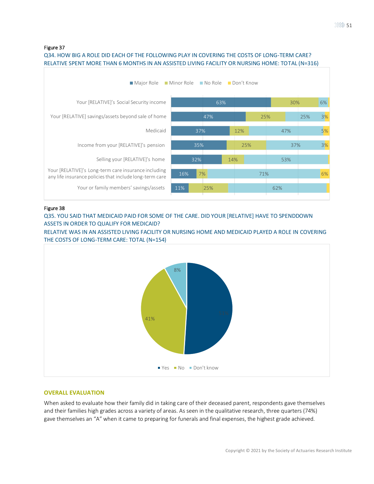## Q34. HOW BIG A ROLE DID EACH OF THE FOLLOWING PLAY IN COVERING THE COSTS OF LONG-TERM CARE? RELATIVE SPENT MORE THAN 6 MONTHS IN AN ASSISTED LIVING FACILITY OR NURSING HOME: TOTAL (N=316)



### Figure 38

Q35. YOU SAID THAT MEDICAID PAID FOR SOME OF THE CARE. DID YOUR [RELATIVE] HAVE TO SPENDDOWN ASSETS IN ORDER TO QUALIFY FOR MEDICAID?

RELATIVE WAS IN AN ASSISTED LIVING FACILITY OR NURSING HOME AND MEDICAID PLAYED A ROLE IN COVERING THE COSTS OF LONG-TERM CARE: TOTAL (N=154)



### **OVERALL EVALUATION**

When asked to evaluate how their family did in taking care of their deceased parent, respondents gave themselves and their families high grades across a variety of areas. As seen in the qualitative research, three quarters (74%) gave themselves an "A" when it came to preparing for funerals and final expenses, the highest grade achieved.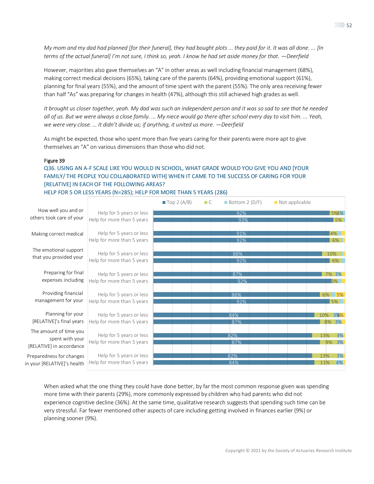*My mom and my dad had planned [for their funeral], they had bought plots ... they paid for it. It was all done. ... [In terms of the actual funeral] I'm not sure, I think so, yeah. I know he had set aside money for that. —Deerfield* 

However, majorities also gave themselves an "A" in other areas as well including financial management (68%), making correct medical decisions (65%), taking care of the parents (64%), providing emotional support (61%), planning for final years (55%), and the amount of time spent with the parent (55%). The only area receiving fewer than half "As" was preparing for changes in health (47%), although this still achieved high grades as well.

*It brought us closer together, yeah. My dad was such an independent person and it was so sad to see that he needed all of us. But we were always a close family. ... My niece would go there after school every day to visit him. ... Yeah, we were very close. … It didn't divide us; if anything, it united us more. —Deerfield*

As might be expected, those who spent more than five years caring for their parents were more apt to give themselves an "A" on various dimensions than those who did not.

### Figure 39

## Q36. USING AN A-F SCALE LIKE YOU WOULD IN SCHOOL, WHAT GRADE WOULD YOU GIVE YOU AND [YOUR FAMILY/ THE PEOPLE YOU COLLABORATED WITH] WHEN IT CAME TO THE SUCCESS OF CARING FOR YOUR [RELATIVE] IN EACH OF THE FOLLOWING AREAS? HELP FOR 5 OR LESS YEARS (N=285); HELP FOR MORE THAN 5 YEARS (286)

|                                                 |                                                        | $\blacksquare$ Top 2 (A/B) | $\Box C$ | Bottom 2 $(D/F)$ | Not applicable |           |
|-------------------------------------------------|--------------------------------------------------------|----------------------------|----------|------------------|----------------|-----------|
| How well you and or                             | Help for 5 years or less                               |                            |          | 92%              |                | 5%%       |
| others took care of your                        | Help for more than 5 years                             |                            |          | 93%              |                | 5%        |
|                                                 |                                                        |                            |          | 91%              |                | 4%        |
| Making correct medical                          | Help for 5 years or less<br>Help for more than 5 years |                            |          | 92%              |                | 6%        |
|                                                 |                                                        |                            |          |                  |                |           |
| The emotional support<br>that you provided your | Help for 5 years or less                               |                            |          | 88%              |                | 10%       |
|                                                 | Help for more than 5 years                             |                            |          | 92%              |                | 6%        |
| Preparing for final                             | Help for 5 years or less                               |                            |          | 87%              |                | 7% 3%     |
| expenses including                              | Help for more than 5 years                             |                            |          | 92%              |                | 3%        |
| Providing financial                             | Help for 5 years or less                               |                            |          | 86%              |                | 6% 5%     |
| management for your                             | Help for more than 5 years                             |                            |          | 92%              |                | 5%        |
| Planning for your                               | Help for 5 years or less                               |                            |          | 84%              |                | 10% 3%%   |
| [RELATIVE]'s final years                        | Help for more than 5 years                             |                            |          | 87%              |                | 8% 3%     |
| The amount of time you                          |                                                        |                            |          |                  |                |           |
| spent with your                                 | Help for 5 years or less                               |                            |          | 82%<br>87%       |                | 13%<br>3% |
| [RELATIVE] in accordance                        | Help for more than 5 years                             |                            |          |                  |                | 9% 3%     |
| Preparedness for changes                        | Help for 5 years or less                               |                            |          | 82%              |                | 3%<br>13% |
| in your [RELATIVE]'s health                     | Help for more than 5 years                             |                            |          | 84%              |                | 11%<br>4% |
|                                                 |                                                        |                            |          |                  |                |           |

When asked what the one thing they could have done better, by far the most common response given was spending more time with their parents (29%), more commonly expressed by children who had parents who did not experience cognitive decline (36%). At the same time, qualitative research suggests that spending such time can be very stressful. Far fewer mentioned other aspects of care including getting involved in finances earlier (9%) or planning sooner (9%).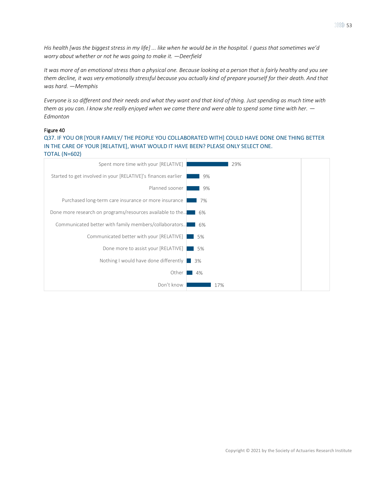*His health [was the biggest stress in my life] ... like when he would be in the hospital. I guess that sometimes we'd worry about whether or not he was going to make it. —Deerfield*

*It was more of an emotional stress than a physical one. Because looking at a person that is fairly healthy and you see them decline, it was very emotionally stressful because you actually kind of prepare yourself for their death. And that was hard. —Memphis*

*Everyone is so different and their needs and what they want and that kind of thing. Just spending as much time with them as you can. I know she really enjoyed when we came there and were able to spend some time with her. — Edmonton*

### Figure 40

Q37. IF YOU OR [YOUR FAMILY/ THE PEOPLE YOU COLLABORATED WITH] COULD HAVE DONE ONE THING BETTER IN THE CARE OF YOUR [RELATIVE], WHAT WOULD IT HAVE BEEN? PLEASE ONLY SELECT ONE. TOTAL (N=602)

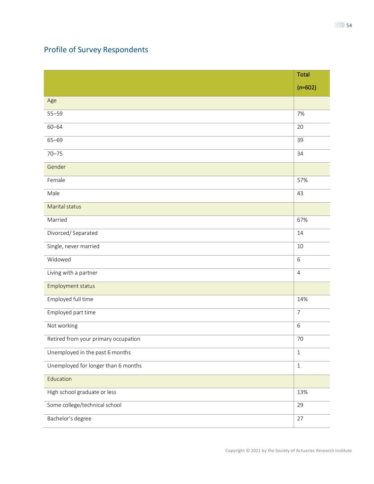# Profile of Survey Respondents

|                                      | <b>Total</b>   |
|--------------------------------------|----------------|
|                                      | $(n=602)$      |
| Age                                  |                |
| $55 - 59$                            | 7%             |
| $60 - 64$                            | 20             |
| $65 - 69$                            | 39             |
| $70 - 75$                            | 34             |
| Gender                               |                |
| Female                               | 57%            |
| Male                                 | 43             |
| Marital status                       |                |
| Married                              | 67%            |
| Divorced/Separated                   | 14             |
| Single, never married                | 10             |
| Widowed                              | $6\,$          |
| Living with a partner                | $\overline{4}$ |
| Employment status                    |                |
| Employed full time                   | 14%            |
| Employed part time                   | $\overline{7}$ |
| Not working                          | $6\,$          |
| Retired from your primary occupation | 70             |
| Unemployed in the past 6 months      | $1\,$          |
| Unemployed for longer than 6 months  | $1\,$          |
| Education                            |                |
| High school graduate or less         | 13%            |
| Some college/technical school        | 29             |
| Bachelor's degree                    | $27$           |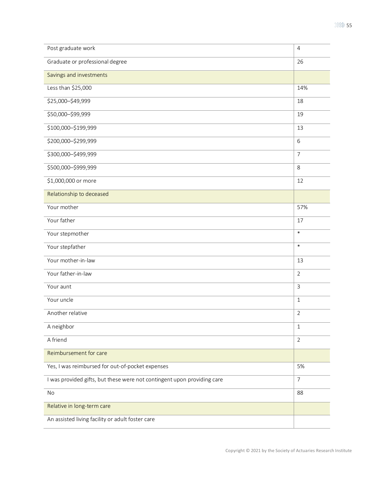| Graduate or professional degree<br>26<br>Savings and investments<br>Less than \$25,000<br>14%<br>\$25,000-\$49,999<br>18<br>\$50,000-\$99,999<br>19<br>\$100,000-\$199,999<br>13<br>\$200,000-\$299,999<br>6<br>\$300,000-\$499,999<br>$\overline{7}$<br>\$500,000-\$999,999<br>$\,8\,$<br>\$1,000,000 or more<br>12<br>Relationship to deceased<br>Your mother<br>57%<br>Your father<br>17<br>$\ast$<br>Your stepmother<br>$\ast$<br>Your stepfather<br>Your mother-in-law<br>13<br>Your father-in-law<br>$\overline{2}$<br>Your aunt<br>$\mathsf{3}$<br>Your uncle<br>$1\,$<br>Another relative<br>$\overline{2}$<br>A neighbor<br>$\mathbf{1}$<br>A friend<br>$\overline{2}$<br>Reimbursement for care<br>Yes, I was reimbursed for out-of-pocket expenses<br>5%<br>I was provided gifts, but these were not contingent upon providing care<br>$\overline{7}$<br>No<br>88<br>Relative in long-term care<br>An assisted living facility or adult foster care | Post graduate work | $\overline{4}$ |
|----------------------------------------------------------------------------------------------------------------------------------------------------------------------------------------------------------------------------------------------------------------------------------------------------------------------------------------------------------------------------------------------------------------------------------------------------------------------------------------------------------------------------------------------------------------------------------------------------------------------------------------------------------------------------------------------------------------------------------------------------------------------------------------------------------------------------------------------------------------------------------------------------------------------------------------------------------------|--------------------|----------------|
|                                                                                                                                                                                                                                                                                                                                                                                                                                                                                                                                                                                                                                                                                                                                                                                                                                                                                                                                                                |                    |                |
|                                                                                                                                                                                                                                                                                                                                                                                                                                                                                                                                                                                                                                                                                                                                                                                                                                                                                                                                                                |                    |                |
|                                                                                                                                                                                                                                                                                                                                                                                                                                                                                                                                                                                                                                                                                                                                                                                                                                                                                                                                                                |                    |                |
|                                                                                                                                                                                                                                                                                                                                                                                                                                                                                                                                                                                                                                                                                                                                                                                                                                                                                                                                                                |                    |                |
|                                                                                                                                                                                                                                                                                                                                                                                                                                                                                                                                                                                                                                                                                                                                                                                                                                                                                                                                                                |                    |                |
|                                                                                                                                                                                                                                                                                                                                                                                                                                                                                                                                                                                                                                                                                                                                                                                                                                                                                                                                                                |                    |                |
|                                                                                                                                                                                                                                                                                                                                                                                                                                                                                                                                                                                                                                                                                                                                                                                                                                                                                                                                                                |                    |                |
|                                                                                                                                                                                                                                                                                                                                                                                                                                                                                                                                                                                                                                                                                                                                                                                                                                                                                                                                                                |                    |                |
|                                                                                                                                                                                                                                                                                                                                                                                                                                                                                                                                                                                                                                                                                                                                                                                                                                                                                                                                                                |                    |                |
|                                                                                                                                                                                                                                                                                                                                                                                                                                                                                                                                                                                                                                                                                                                                                                                                                                                                                                                                                                |                    |                |
|                                                                                                                                                                                                                                                                                                                                                                                                                                                                                                                                                                                                                                                                                                                                                                                                                                                                                                                                                                |                    |                |
|                                                                                                                                                                                                                                                                                                                                                                                                                                                                                                                                                                                                                                                                                                                                                                                                                                                                                                                                                                |                    |                |
|                                                                                                                                                                                                                                                                                                                                                                                                                                                                                                                                                                                                                                                                                                                                                                                                                                                                                                                                                                |                    |                |
|                                                                                                                                                                                                                                                                                                                                                                                                                                                                                                                                                                                                                                                                                                                                                                                                                                                                                                                                                                |                    |                |
|                                                                                                                                                                                                                                                                                                                                                                                                                                                                                                                                                                                                                                                                                                                                                                                                                                                                                                                                                                |                    |                |
|                                                                                                                                                                                                                                                                                                                                                                                                                                                                                                                                                                                                                                                                                                                                                                                                                                                                                                                                                                |                    |                |
|                                                                                                                                                                                                                                                                                                                                                                                                                                                                                                                                                                                                                                                                                                                                                                                                                                                                                                                                                                |                    |                |
|                                                                                                                                                                                                                                                                                                                                                                                                                                                                                                                                                                                                                                                                                                                                                                                                                                                                                                                                                                |                    |                |
|                                                                                                                                                                                                                                                                                                                                                                                                                                                                                                                                                                                                                                                                                                                                                                                                                                                                                                                                                                |                    |                |
|                                                                                                                                                                                                                                                                                                                                                                                                                                                                                                                                                                                                                                                                                                                                                                                                                                                                                                                                                                |                    |                |
|                                                                                                                                                                                                                                                                                                                                                                                                                                                                                                                                                                                                                                                                                                                                                                                                                                                                                                                                                                |                    |                |
|                                                                                                                                                                                                                                                                                                                                                                                                                                                                                                                                                                                                                                                                                                                                                                                                                                                                                                                                                                |                    |                |
|                                                                                                                                                                                                                                                                                                                                                                                                                                                                                                                                                                                                                                                                                                                                                                                                                                                                                                                                                                |                    |                |
|                                                                                                                                                                                                                                                                                                                                                                                                                                                                                                                                                                                                                                                                                                                                                                                                                                                                                                                                                                |                    |                |
|                                                                                                                                                                                                                                                                                                                                                                                                                                                                                                                                                                                                                                                                                                                                                                                                                                                                                                                                                                |                    |                |
|                                                                                                                                                                                                                                                                                                                                                                                                                                                                                                                                                                                                                                                                                                                                                                                                                                                                                                                                                                |                    |                |
|                                                                                                                                                                                                                                                                                                                                                                                                                                                                                                                                                                                                                                                                                                                                                                                                                                                                                                                                                                |                    |                |
|                                                                                                                                                                                                                                                                                                                                                                                                                                                                                                                                                                                                                                                                                                                                                                                                                                                                                                                                                                |                    |                |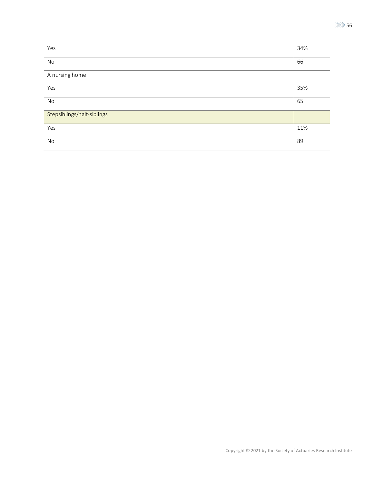| Yes                        | 34% |
|----------------------------|-----|
| No                         | 66  |
| A nursing home             |     |
| Yes                        | 35% |
| No                         | 65  |
| Stepsiblings/half-siblings |     |
| Yes                        | 11% |
| No                         | 89  |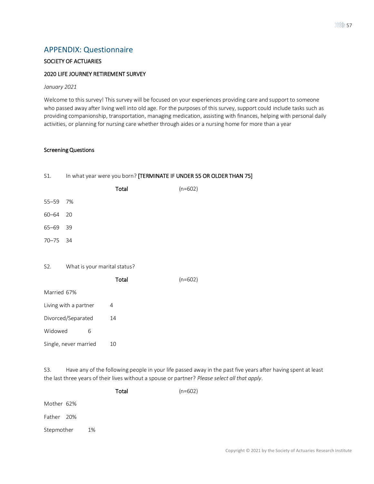## APPENDIX: Questionnaire

## SOCIETY OF ACTUARIES

### 2020 LIFE JOURNEY RETIREMENT SURVEY

*January 2021*

Welcome to this survey! This survey will be focused on your experiences providing care and support to someone who passed away after living well into old age. For the purposes of this survey, support could include tasks such as providing companionship, transportation, managing medication, assisting with finances, helping with personal daily activities, or planning for nursing care whether through aides or a nursing home for more than a year

### Screening Questions

| S1.         |                              |       | In what year were you born? [TERMINATE IF UNDER 55 OR OLDER THAN 75] |
|-------------|------------------------------|-------|----------------------------------------------------------------------|
|             |                              | Total | $(n=602)$                                                            |
| $55 - 59$   | 7%                           |       |                                                                      |
| $60 - 64$   | 20                           |       |                                                                      |
| $65 - 69$   | 39                           |       |                                                                      |
| $70 - 75$   | 34                           |       |                                                                      |
|             |                              |       |                                                                      |
| S2.         | What is your marital status? |       |                                                                      |
|             |                              | Total | $(n=602)$                                                            |
| Married 67% |                              |       |                                                                      |
|             | Living with a partner        | 4     |                                                                      |
|             | Divorced/Separated           | 14    |                                                                      |
| Widowed     | 6                            |       |                                                                      |
|             | Single, never married        | 10    |                                                                      |
|             |                              |       |                                                                      |

S3. Have any of the following people in your life passed away in the past five years after having spent at least the last three years of their lives without a spouse or partner? *Please select all that apply*.

|            |    | Total | $(n=602)$ |
|------------|----|-------|-----------|
| Mother 62% |    |       |           |
| Father 20% |    |       |           |
| Stepmother | 1% |       |           |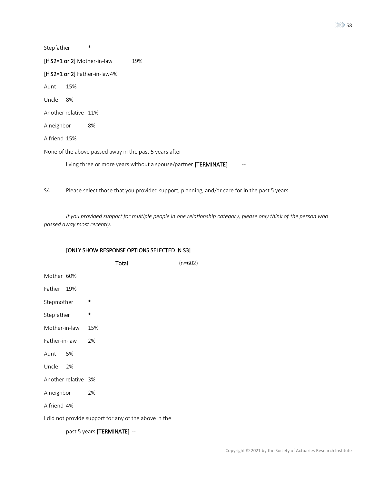| Stepfather                       | $\ast$                                                          |
|----------------------------------|-----------------------------------------------------------------|
| [If S2=1 or 2] Mother-in-law     | 19%                                                             |
| [If $S2=1$ or 2] Father-in-law4% |                                                                 |
| 15%<br>Aunt                      |                                                                 |
| Uncle<br>8%                      |                                                                 |
| Another relative 11%             |                                                                 |
| A neighbor                       | 8%                                                              |
| A friend 15%                     |                                                                 |
|                                  | None of the above passed away in the past 5 years after         |
|                                  | living three or more years without a spouse/partner [TERMINATE] |

S4. Please select those that you provided support, planning, and/or care for in the past 5 years.

*If you provided support for multiple people in one relationship category, please only think of the person who passed away most recently.*

### [ONLY SHOW RESPONSE OPTIONS SELECTED IN S3]

|                     |    | Total                                                 | $(n=602)$ |
|---------------------|----|-------------------------------------------------------|-----------|
| Mother 60%          |    |                                                       |           |
| Father 19%          |    |                                                       |           |
| Stepmother          |    | $\ast$                                                |           |
| Stepfather          |    | $\ast$                                                |           |
| Mother-in-law       |    | 15%                                                   |           |
| Father-in-law       |    | 2%                                                    |           |
| Aunt                | 5% |                                                       |           |
| Uncle 2%            |    |                                                       |           |
| Another relative 3% |    |                                                       |           |
| A neighbor          |    | 2%                                                    |           |
| A friend 4%         |    |                                                       |           |
|                     |    | I did not provide support for any of the above in the |           |
|                     |    |                                                       |           |

past 5 years [TERMINATE] --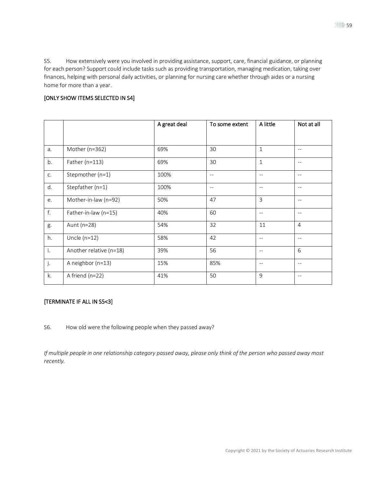S5. How extensively were you involved in providing assistance, support, care, financial guidance, or planning for each person? Support could include tasks such as providing transportation, managing medication, taking over finances, helping with personal daily activities, or planning for nursing care whether through aides or a nursing home for more than a year.

## [ONLY SHOW ITEMS SELECTED IN S4]

|    |                         | A great deal | To some extent    | A little                 | Not at all        |
|----|-------------------------|--------------|-------------------|--------------------------|-------------------|
|    |                         |              |                   |                          |                   |
| a. | Mother (n=362)          | 69%          | 30                | $1\,$                    | $-\,-$            |
| b. | Father (n=113)          | 69%          | 30                | $\mathbf{1}$             | $-$               |
| C. | Stepmother (n=1)        | 100%         | $-\,-$            | $-$                      | $- -$             |
| d. | Stepfather (n=1)        | 100%         | $\qquad \qquad -$ | $-$                      | $- -$             |
| e. | Mother-in-law (n=92)    | 50%          | 47                | 3                        | $\qquad \qquad -$ |
| f. | Father-in-law (n=15)    | 40%          | 60                | $-$                      | $- -$             |
| g. | Aunt (n=28)             | 54%          | 32                | 11                       | $\overline{4}$    |
| h. | Uncle $(n=12)$          | 58%          | 42                | $\overline{\phantom{m}}$ | $-\,-$            |
| i. | Another relative (n=18) | 39%          | 56                | $-$                      | 6                 |
| j. | A neighbor (n=13)       | 15%          | 85%               | $\qquad \qquad -$        | $\qquad \qquad -$ |
| k. | A friend (n=22)         | 41%          | 50                | 9                        | $\qquad \qquad -$ |

## [TERMINATE IF ALL IN S5<3]

S6. How old were the following people when they passed away?

*If multiple people in one relationship category passed away, please only think of the person who passed away most recently.*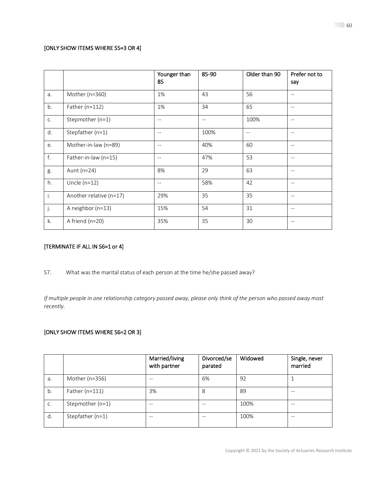## [ONLY SHOW ITEMS WHERE S5=3 OR 4]

|    |                         | Younger than<br>85 | 85-90                    | Older than 90 | Prefer not to<br>say |
|----|-------------------------|--------------------|--------------------------|---------------|----------------------|
| a. | Mother (n=360)          | 1%                 | 43                       | 56            | $-$                  |
| b. | Father ( $n=112$ )      | 1%                 | 34                       | 65            | $-$                  |
| C. | Stepmother (n=1)        | $-$                | $\overline{\phantom{a}}$ | 100%          | $-$                  |
| d. | Stepfather (n=1)        | $-$                | 100%                     | $- -$         | $\qquad \qquad -$    |
| e. | Mother-in-law (n=89)    | $-$                | 40%                      | 60            | $-$                  |
| f. | Father-in-law (n=15)    | $\qquad \qquad -$  | 47%                      | 53            | $-$                  |
| g. | Aunt (n=24)             | 8%                 | 29                       | 63            | $-$                  |
| h. | Uncle $(n=12)$          | $-$                | 58%                      | 42            | $-$                  |
| i. | Another relative (n=17) | 29%                | 35                       | 35            | $\qquad \qquad -$    |
| j. | A neighbor (n=13)       | 15%                | 54                       | 31            | $-$                  |
| k. | A friend (n=20)         | 35%                | 35                       | 30            | $\qquad \qquad -$    |

## [TERMINATE IF ALL IN S6=1 or 4]

S7. What was the marital status of each person at the time he/she passed away?

*If multiple people in one relationship category passed away, please only think of the person who passed away most recently.*

## [ONLY SHOW ITEMS WHERE S6=2 OR 3]

|    |                    | Married/living<br>with partner | Divorced/se<br>parated | Widowed | Single, never<br>married |
|----|--------------------|--------------------------------|------------------------|---------|--------------------------|
| a. | Mother (n=356)     |                                | 6%                     | 92      |                          |
| b. | Father ( $n=111$ ) | 3%                             | 8                      | 89      | $ -$                     |
| C. | Stepmother (n=1)   | $ -$                           | --                     | 100%    | $ -$                     |
| d. | Stepfather (n=1)   | $- -$                          | $- -$                  | 100%    | $- -$                    |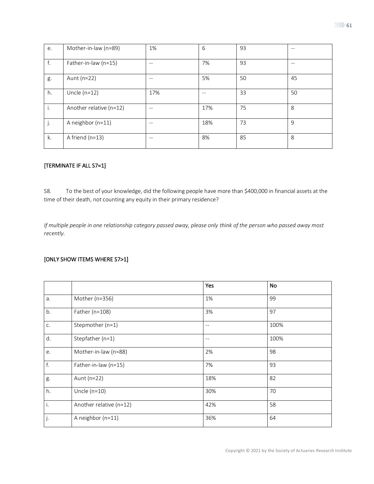| e. | Mother-in-law (n=89)    | 1%    | 6   | 93 | $-$  |
|----|-------------------------|-------|-----|----|------|
| f. | Father-in-law (n=15)    | $-$   | 7%  | 93 | $ -$ |
| g. | Aunt (n=22)             | $- -$ | 5%  | 50 | 45   |
| h. | Uncle $(n=12)$          | 17%   | --  | 33 | 50   |
| j. | Another relative (n=12) | $-$   | 17% | 75 | 8    |
| j. | A neighbor (n=11)       | $- -$ | 18% | 73 | 9    |
| k. | A friend $(n=13)$       | $- -$ | 8%  | 85 | 8    |

## [TERMINATE IF ALL S7=1]

S8. To the best of your knowledge, did the following people have more than \$400,000 in financial assets at the time of their death, not counting any equity in their primary residence?

*If multiple people in one relationship category passed away, please only think of the person who passed away most recently.*

## [ONLY SHOW ITEMS WHERE S7>1]

|    |                         | Yes               | No   |
|----|-------------------------|-------------------|------|
| a. | Mother (n=356)          | 1%                | 99   |
| b. | Father (n=108)          | 3%                | 97   |
| C. | Stepmother (n=1)        | $-$               | 100% |
| d. | Stepfather (n=1)        | $\qquad \qquad -$ | 100% |
| e. | Mother-in-law (n=88)    | 2%                | 98   |
| f. | Father-in-law (n=15)    | 7%                | 93   |
| g. | Aunt (n=22)             | 18%               | 82   |
| h. | Uncle ( $n=10$ )        | 30%               | 70   |
| i. | Another relative (n=12) | 42%               | 58   |
| j. | A neighbor (n=11)       | 36%               | 64   |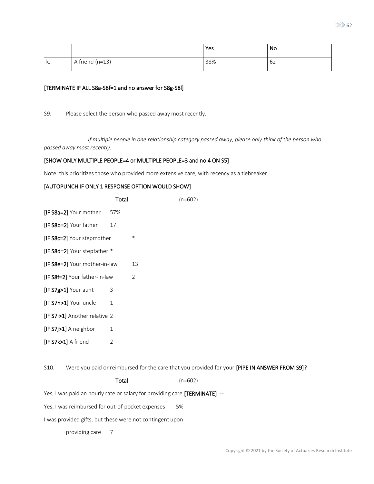|    |                 | Yes | No |
|----|-----------------|-----|----|
| k. | A friend (n=13) | 38% | 62 |

### [TERMINATE IF ALL S8a-S8f=1 and no answer for S8g-S8l]

S9. Please select the person who passed away most recently.

*If multiple people in one relationship category passed away, please only think of the person who passed away most recently.*

### [SHOW ONLY MULTIPLE PEOPLE=4 or MULTIPLE PEOPLE=3 and no 4 ON S5]

Note: this prioritizes those who provided more extensive care, with recency as a tiebreaker

### [AUTOPUNCH IF ONLY 1 RESPONSE OPTION WOULD SHOW]

|                                 | Total |         | $(n=602)$ |
|---------------------------------|-------|---------|-----------|
| [IF S8a=2] Your mother          | 57%   |         |           |
| [IF S8b=2] Your father          | 17    |         |           |
| <b>IF S8c=2</b> Your stepmother |       | $^\ast$ |           |
| [IF S8d=2] Your stepfather *    |       |         |           |
| [IF S8e=2] Your mother-in-law   |       | 13      |           |
| [IF S8f=2] Your father-in-law   |       | 2       |           |
| $[IF S7g>1]$ Your aunt          | 3     |         |           |
| [IF S7h>1] Your uncle           | 1     |         |           |
| [IF S7i>1] Another relative 2   |       |         |           |
| $[IF S7] > 1]$ A neighbor       | 1     |         |           |
| $[IF S7k>1]$ A friend           | 2     |         |           |
|                                 |       |         |           |

S10. Were you paid or reimbursed for the care that you provided for your [PIPE IN ANSWER FROM S9]?

### Total (n=602)

Yes, I was paid an hourly rate or salary for providing care [TERMINATE] --

Yes, I was reimbursed for out-of-pocket expenses 5%

I was provided gifts, but these were not contingent upon

providing care 7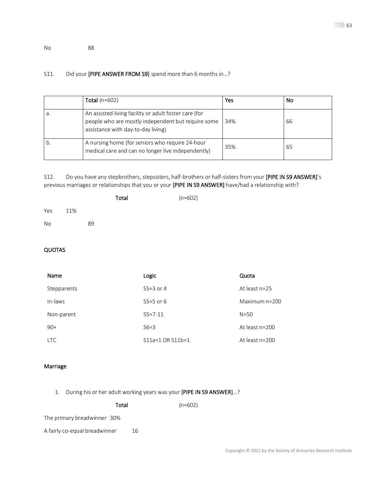No 88

## S11. Did your [PIPE ANSWER FROM S9] spend more than 6 months in...?

|    | Total $(n=602)$                                                                                                                                   | Yes | No |
|----|---------------------------------------------------------------------------------------------------------------------------------------------------|-----|----|
| а. | An assisted living facility or adult foster care (for<br>people who are mostly independent but require some<br>assistance with day-to-day living) | 34% | 66 |
| b. | A nursing home (for seniors who require 24-hour<br>medical care and can no longer live independently)                                             | 35% | 65 |

S12. Do you have any stepbrothers, stepsisters, half-brothers or half-sisters from your [PIPE IN S9 ANSWER]'s previous marriages or relationships that you or your [PIPE IN S9 ANSWER] have/had a relationship with?

| Yes<br>11% |  |
|------------|--|
| No<br>89   |  |
|            |  |

## QUOTAS

| Name        | Logic            | Quota            |
|-------------|------------------|------------------|
| Stepparents | $S5=3$ or 4      | At least $n=25$  |
| In-laws     | $S5=5$ or 6      | Maximum n=200    |
| Non-parent  | $S5 = 7 - 11$    | $N = 50$         |
| $90+$       | $S6=3$           | At least $n=200$ |
| <b>LTC</b>  | S11a=1 OR S11b=1 | At least $n=200$ |

### Marriage

1. During his or her adult working years was your [PIPE IN S9 ANSWER]…?

| Total                         |    | $(n=602)$ |
|-------------------------------|----|-----------|
| The primary breadwinner 30%   |    |           |
| A fairly co-equal breadwinner | 16 |           |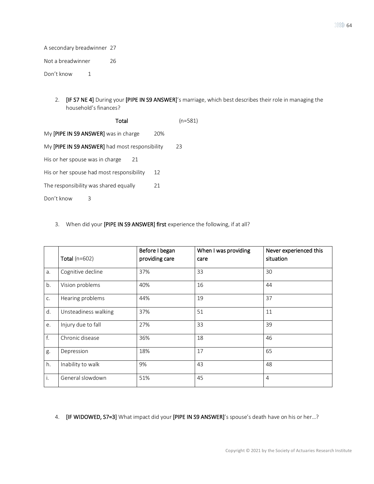A secondary breadwinner 27 Not a breadwinner 26 Don't know 1

> 2. **[IF S7 NE 4]** During your [PIPE IN S9 ANSWER]'s marriage, which best describes their role in managing the household's finances?

 Total (n=581) My [PIPE IN S9 ANSWER] was in charge 20% My [PIPE IN S9 ANSWER] had most responsibility 23 His or her spouse was in charge 21 His or her spouse had most responsibility 12 The responsibility was shared equally 21 Don't know 3

### 3. When did your [PIPE IN S9 ANSWER] first experience the following, if at all?

|    | Total ( $n=602$ )    | Before I began<br>providing care | When I was providing<br>care | Never experienced this<br>situation |
|----|----------------------|----------------------------------|------------------------------|-------------------------------------|
| a. | Cognitive decline    | 37%                              | 33                           | 30                                  |
| b. | Vision problems      | 40%                              | 16                           | 44                                  |
| C. | Hearing problems     | 44%                              | 19                           | 37                                  |
| d. | Unsteadiness walking | 37%                              | 51                           | 11                                  |
| e. | Injury due to fall   | 27%                              | 33                           | 39                                  |
| f. | Chronic disease      | 36%                              | 18                           | 46                                  |
| g. | Depression           | 18%                              | 17                           | 65                                  |
| h. | Inability to walk    | 9%                               | 43                           | 48                                  |
| i. | General slowdown     | 51%                              | 45                           | $\overline{4}$                      |

4. **[IF WIDOWED, S7=3]** What impact did your **[PIPE IN S9 ANSWER]**'s spouse's death have on his or her...?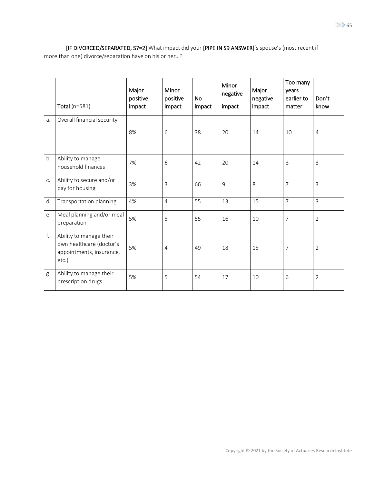[IF DIVORCED/SEPARATED, S7=2] What impact did your [PIPE IN S9 ANSWER]'s spouse's (most recent if more than one) divorce/separation have on his or her…?

|    | Total $(n=581)$                                                                          | Major<br>positive<br>impact | Minor<br>positive<br>impact | <b>No</b><br>impact | Minor<br>negative<br>impact | Major<br>negative<br>impact | Too many<br>years<br>earlier to<br>matter | Don't<br>know  |
|----|------------------------------------------------------------------------------------------|-----------------------------|-----------------------------|---------------------|-----------------------------|-----------------------------|-------------------------------------------|----------------|
| a. | Overall financial security                                                               | 8%                          | 6                           | 38                  | 20                          | 14                          | 10                                        | $\overline{4}$ |
| b. | Ability to manage<br>household finances                                                  | 7%                          | 6                           | 42                  | 20                          | 14                          | 8                                         | 3              |
| C. | Ability to secure and/or<br>pay for housing                                              | 3%                          | 3                           | 66                  | 9                           | 8                           | 7                                         | 3              |
| d. | Transportation planning                                                                  | 4%                          | $\overline{4}$              | 55                  | 13                          | 15                          | $\overline{7}$                            | 3              |
| е. | Meal planning and/or meal<br>preparation                                                 | 5%                          | 5                           | 55                  | 16                          | 10                          | 7                                         | $\overline{2}$ |
| f. | Ability to manage their<br>own healthcare (doctor's<br>appointments, insurance,<br>etc.) | 5%                          | 4                           | 49                  | 18                          | 15                          | 7                                         | 2              |
| g. | Ability to manage their<br>prescription drugs                                            | 5%                          | 5                           | 54                  | 17                          | 10                          | 6                                         | $\overline{2}$ |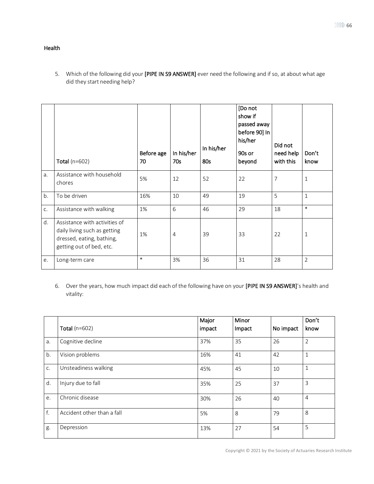## Health

5. Which of the following did your [PIPE IN S9 ANSWER] ever need the following and if so, at about what age did they start needing help?

|    | Total ( $n=602$ )                                                                                                      | Before age<br>70 | In his/her<br>70s | In his/her<br>80s | [Do not<br>show if<br>passed away<br>before 90] In<br>his/her<br>90s or<br>beyond | Did not<br>need help<br>with this | Don't<br>know  |
|----|------------------------------------------------------------------------------------------------------------------------|------------------|-------------------|-------------------|-----------------------------------------------------------------------------------|-----------------------------------|----------------|
| a. | Assistance with household<br>chores                                                                                    | 5%               | 12                | 52                | 22                                                                                | 7                                 | $\mathbf 1$    |
| b. | To be driven                                                                                                           | 16%              | 10                | 49                | 19                                                                                | 5                                 | $\mathbf{1}$   |
| C. | Assistance with walking                                                                                                | 1%               | 6                 | 46                | 29                                                                                | 18                                | $\ast$         |
| d. | Assistance with activities of<br>daily living such as getting<br>dressed, eating, bathing,<br>getting out of bed, etc. | 1%               | 4                 | 39                | 33                                                                                | 22                                | $\mathbf 1$    |
| e. | Long-term care                                                                                                         | $\ast$           | 3%                | 36                | 31                                                                                | 28                                | $\overline{2}$ |

6. Over the years, how much impact did each of the following have on your [PIPE IN S9 ANSWER]'s health and vitality:

|    |                            | Major  | Minor  |           | Don't          |
|----|----------------------------|--------|--------|-----------|----------------|
|    | Total $(n=602)$            | impact | Impact | No impact | know           |
| a. | Cognitive decline          | 37%    | 35     | 26        | $\overline{2}$ |
| b. | Vision problems            | 16%    | 41     | 42        | $\mathbf{1}$   |
| C. | Unsteadiness walking       | 45%    | 45     | 10        | 1              |
| d. | Injury due to fall         | 35%    | 25     | 37        | 3              |
| e. | Chronic disease            | 30%    | 26     | 40        | 4              |
| f. | Accident other than a fall | 5%     | 8      | 79        | 8              |
| g. | Depression                 | 13%    | 27     | 54        | 5              |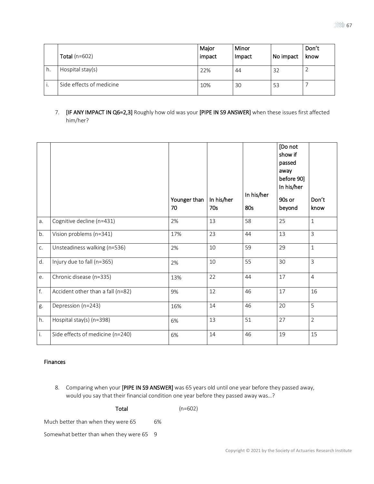|    | Total $(n=602)$          | Major<br>impact | Minor<br>Impact | No impact | Don't<br>know |
|----|--------------------------|-----------------|-----------------|-----------|---------------|
| h. | Hospital stay(s)         | 22%             | 44              | 32        |               |
|    | Side effects of medicine | 10%             | 30              | 53        |               |

7. **[IF ANY IMPACT IN Q6=2,3]** Roughly how old was your [PIPE IN S9 ANSWER] when these issues first affected him/her?

|    |                                   | Younger than<br>70 | In his/her<br>70s | In his/her<br>80s | [Do not<br>show if<br>passed<br>away<br>before 90]<br>In his/her<br>90s or<br>beyond | Don't<br>know  |
|----|-----------------------------------|--------------------|-------------------|-------------------|--------------------------------------------------------------------------------------|----------------|
| a. | Cognitive decline (n=431)         | 2%                 | 13                | 58                | 25                                                                                   | $\mathbf{1}$   |
| b. | Vision problems (n=341)           | 17%                | 23                | 44                | 13                                                                                   | 3              |
| c. | Unsteadiness walking (n=536)      | 2%                 | 10                | 59                | 29                                                                                   | $1\,$          |
| d. | Injury due to fall (n=365)        | 2%                 | 10                | 55                | 30                                                                                   | $\overline{3}$ |
| e. | Chronic disease (n=335)           | 13%                | 22                | 44                | 17                                                                                   | $\overline{4}$ |
| f. | Accident other than a fall (n=82) | 9%                 | 12                | 46                | 17                                                                                   | 16             |
| g. | Depression (n=243)                | 16%                | 14                | 46                | 20                                                                                   | 5              |
| h. | Hospital stay(s) (n=398)          | 6%                 | 13                | 51                | 27                                                                                   | $\overline{2}$ |
| i. | Side effects of medicine (n=240)  | 6%                 | 14                | 46                | 19                                                                                   | 15             |

### Finances

8. Comparing when your [PIPE IN S9 ANSWER] was 65 years old until one year before they passed away, would you say that their financial condition one year before they passed away was…?

| Total                                    |    | $(n=602)$ |
|------------------------------------------|----|-----------|
| Much better than when they were 65       | 6% |           |
| Somewhat better than when they were 65 9 |    |           |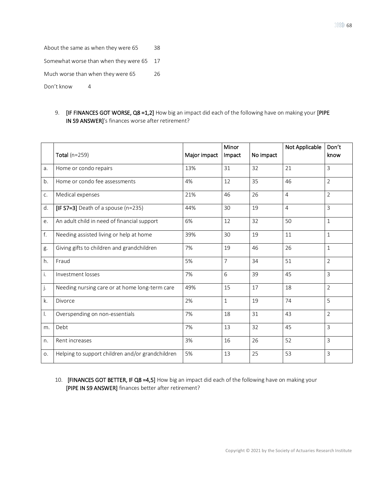About the same as when they were 65 38 Somewhat worse than when they were 65 17

Much worse than when they were 65 26

Don't know 4

9. **[IF FINANCES GOT WORSE, Q8 =1,2]** How big an impact did each of the following have on making your [PIPE IN S9 ANSWER]'s finances worse after retirement?

|    | Total ( $n=259$ )                                | Major impact | Minor<br>Impact | No impact | Not Applicable | Don't<br>know  |
|----|--------------------------------------------------|--------------|-----------------|-----------|----------------|----------------|
| a. | Home or condo repairs                            | 13%          | 31              | 32        | 21             | 3              |
| b. | Home or condo fee assessments                    | 4%           | 12              | 35        | 46             | $\overline{2}$ |
| C. | Medical expenses                                 | 21%          | 46              | 26        | $\overline{4}$ | $\overline{2}$ |
| d. | $[IF S7=3]$ Death of a spouse (n=235)            | 44%          | 30              | 19        | $\overline{4}$ | 3              |
| e. | An adult child in need of financial support      | 6%           | 12              | 32        | 50             | $\mathbf{1}$   |
| f. | Needing assisted living or help at home          | 39%          | 30              | 19        | 11             | $\mathbf{1}$   |
| g. | Giving gifts to children and grandchildren       | 7%           | 19              | 46        | 26             | $\mathbf{1}$   |
| h. | Fraud                                            | 5%           | $\overline{7}$  | 34        | 51             | $\overline{2}$ |
| İ. | Investment losses                                | 7%           | 6               | 39        | 45             | 3              |
| j. | Needing nursing care or at home long-term care   | 49%          | 15              | 17        | 18             | $\overline{2}$ |
| k. | Divorce                                          | 2%           | $1\,$           | 19        | 74             | 5              |
| I. | Overspending on non-essentials                   | 7%           | 18              | 31        | 43             | $\overline{2}$ |
| m. | Debt                                             | 7%           | 13              | 32        | 45             | 3              |
| n. | Rent increases                                   | 3%           | 16              | 26        | 52             | 3              |
| O. | Helping to support children and/or grandchildren | 5%           | 13              | 25        | 53             | 3              |

10. [FINANCES GOT BETTER, IF Q8 =4,5] How big an impact did each of the following have on making your [PIPE IN S9 ANSWER] finances better after retirement?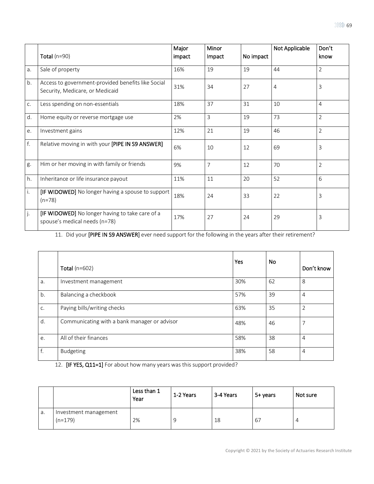|    |                                                                                              | Major  | Minor          |           | Not Applicable | Don't          |
|----|----------------------------------------------------------------------------------------------|--------|----------------|-----------|----------------|----------------|
|    | Total $(n=90)$                                                                               | impact | Impact         | No impact |                | know           |
| a. | Sale of property                                                                             | 16%    | 19             | 19        | 44             | $\overline{2}$ |
| b. | Access to government-provided benefits like Social<br>31%<br>Security, Medicare, or Medicaid |        | 34             | 27        | 4              | 3              |
| C. | Less spending on non-essentials                                                              | 18%    | 37             | 31        | 10             | 4              |
| d. | Home equity or reverse mortgage use                                                          | 2%     | 3              | 19        | 73             | $\overline{2}$ |
| e. | Investment gains                                                                             | 12%    | 21             | 19        | 46             | $\overline{2}$ |
| f. | Relative moving in with your [PIPE IN S9 ANSWER]                                             | 6%     | 10             | 12        | 69             | 3              |
| g. | Him or her moving in with family or friends                                                  | 9%     | $\overline{7}$ | 12        | 70             | $\overline{2}$ |
| h. | Inheritance or life insurance payout                                                         | 11%    | 11             | 20        | 52             | 6              |
| i. | [IF WIDOWED] No longer having a spouse to support<br>$(n=78)$                                | 18%    | 24             | 33        | 22             | 3              |
| j. | [IF WIDOWED] No longer having to take care of a<br>spouse's medical needs (n=78)             | 17%    | 27             | 24        | 29             | 3              |

11. Did your [PIPE IN S9 ANSWER] ever need support for the following in the years after their retirement?

|    | Total ( $n=602$ )                            | Yes | No | Don't know     |
|----|----------------------------------------------|-----|----|----------------|
| a. | Investment management                        | 30% | 62 | 8              |
| b. | Balancing a checkbook                        | 57% | 39 | 4              |
| C. | Paying bills/writing checks                  | 63% | 35 | $\overline{2}$ |
| d. | Communicating with a bank manager or advisor | 48% | 46 |                |
| e. | All of their finances                        | 58% | 38 | 4              |
| f. | <b>Budgeting</b>                             | 38% | 58 | 4              |

12. [IF YES, Q11=1] For about how many years was this support provided?

|    |                                    | Less than 1<br>Year | 1-2 Years | 3-4 Years | 5+ years | Not sure |
|----|------------------------------------|---------------------|-----------|-----------|----------|----------|
| а. | Investment management<br>$(n=179)$ | 2%                  | g         | 18        | 67       | 4        |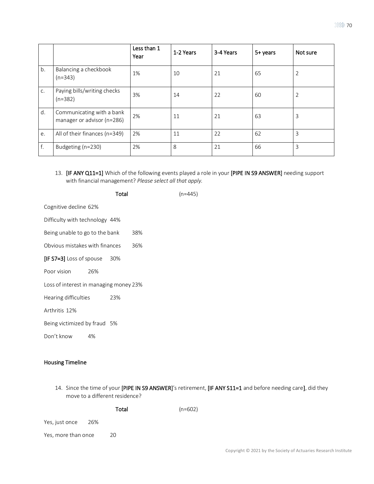|    |                                                         | Less than 1<br>Year | 1-2 Years | 3-4 Years | 5+ years | Not sure       |
|----|---------------------------------------------------------|---------------------|-----------|-----------|----------|----------------|
| b. | Balancing a checkbook<br>$(n=343)$                      | 1%                  | 10        | 21        | 65       | $\overline{2}$ |
| C. | Paying bills/writing checks<br>$(n=382)$                | 3%                  | 14        | 22        | 60       | $\overline{2}$ |
| d. | Communicating with a bank<br>manager or advisor (n=286) | 2%                  | 11        | 21        | 63       | 3              |
| e. | All of their finances (n=349)                           | 2%                  | 11        | 22        | 62       | 3              |
| f. | Budgeting (n=230)                                       | 2%                  | 8         | 21        | 66       | 3              |

- 13. [IF ANY Q11=1] Which of the following events played a role in your [PIPE IN S9 ANSWER] needing support with financial management? *Please select all that apply.*
	- Total (n=445)

Cognitive decline 62%

Difficulty with technology 44%

Being unable to go to the bank 38%

Obvious mistakes with finances 36%

[IF S7=3] Loss of spouse 30%

Poor vision 26%

Loss of interest in managing money 23%

Hearing difficulties 23%

Arthritis 12%

Being victimized by fraud 5%

Don't know 4%

## Housing Timeline

14. Since the time of your [PIPE IN S9 ANSWER]'s retirement, [IF ANY S11=1 and before needing care], did they move to a different residence?

Total (n=602)

Yes, just once 26%

Yes, more than once 20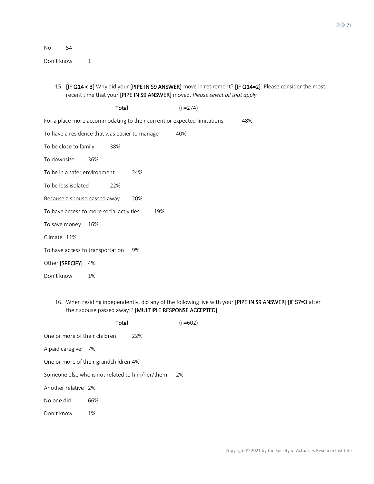No 54

Don't know 1

## 15. [IF Q14 < 3] Why did your [PIPE IN S9 ANSWER] move in retirement? [IF Q14=2]: Please consider the most recent time that your [PIPE IN S9 ANSWER] moved. *Please select all that apply.*

|                                               |     | Total |     | $(n=274)$                                                               |     |
|-----------------------------------------------|-----|-------|-----|-------------------------------------------------------------------------|-----|
|                                               |     |       |     | For a place more accommodating to their current or expected limitations | 48% |
| To have a residence that was easier to manage |     |       |     | 40%                                                                     |     |
| To be close to family 38%                     |     |       |     |                                                                         |     |
| To downsize                                   | 36% |       |     |                                                                         |     |
| To be in a safer environment                  |     |       | 24% |                                                                         |     |
| To be less isolated                           |     | 22%   |     |                                                                         |     |
| Because a spouse passed away                  |     |       | 20% |                                                                         |     |
| To have access to more social activities      |     |       | 19% |                                                                         |     |
| To save money                                 | 16% |       |     |                                                                         |     |
| Climate 11%                                   |     |       |     |                                                                         |     |
| To have access to transportation              |     |       | 9%  |                                                                         |     |
| Other [SPECIFY] 4%                            |     |       |     |                                                                         |     |
| Don't know                                    | 1%  |       |     |                                                                         |     |

## 16. When residing independently, did any of the following live with your [PIPE IN S9 ANSWER] [IF S7=3 after their spouse passed away]? [MULTIPLE RESPONSE ACCEPTED]

|                               | $(n=602)$                                       |     |    |
|-------------------------------|-------------------------------------------------|-----|----|
| One or more of their children |                                                 | 22% |    |
| A paid caregiver 7%           |                                                 |     |    |
|                               | One or more of their grandchildren 4%           |     |    |
|                               | Someone else who is not related to him/her/them |     | 2% |
| Another relative 2%           |                                                 |     |    |
| No one did                    | 66%                                             |     |    |
| Don't know                    | 1%                                              |     |    |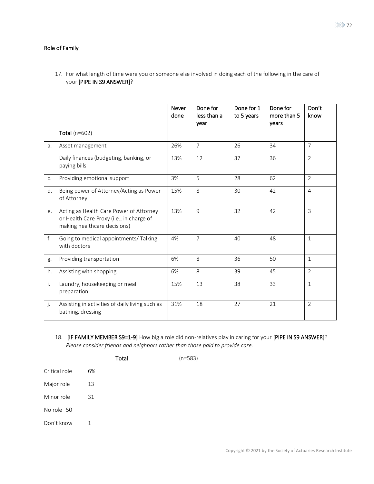### Role of Family

17. For what length of time were you or someone else involved in doing each of the following in the care of your [PIPE IN S9 ANSWER]?

|    |                                                                                                                     | <b>Never</b><br>done | Done for<br>less than a<br>vear | Done for 1<br>to 5 years | Done for<br>more than 5<br>vears | Don't<br>know  |
|----|---------------------------------------------------------------------------------------------------------------------|----------------------|---------------------------------|--------------------------|----------------------------------|----------------|
|    | Total ( $n=602$ )                                                                                                   |                      |                                 |                          |                                  |                |
| a. | Asset management                                                                                                    | 26%                  | $\overline{7}$                  | 26                       | 34                               | $\overline{7}$ |
|    | Daily finances (budgeting, banking, or<br>paying bills                                                              | 13%                  | 12                              | 37                       | 36                               | $\overline{2}$ |
| C. | Providing emotional support                                                                                         | 3%                   | 5                               | 28                       | 62                               | $\overline{2}$ |
| d. | Being power of Attorney/Acting as Power<br>of Attorney                                                              | 15%                  | 8                               | 30                       | 42                               | $\overline{4}$ |
| e. | Acting as Health Care Power of Attorney<br>or Health Care Proxy (i.e., in charge of<br>making healthcare decisions) | 13%                  | 9                               | 32                       | 42                               | 3              |
| f. | Going to medical appointments/ Talking<br>with doctors                                                              | 4%                   | $\overline{7}$                  | 40                       | 48                               | $\mathbf{1}$   |
| g. | Providing transportation                                                                                            | 6%                   | 8                               | 36                       | 50                               | $\mathbf{1}$   |
| h. | Assisting with shopping                                                                                             | 6%                   | 8                               | 39                       | 45                               | $\overline{2}$ |
| i. | Laundry, housekeeping or meal<br>preparation                                                                        | 15%                  | 13                              | 38                       | 33                               | $\mathbf{1}$   |
| j. | Assisting in activities of daily living such as<br>bathing, dressing                                                | 31%                  | 18                              | 27                       | 21                               | 2              |

18. [IF FAMILY MEMBER S9=1-9] How big a role did non-relatives play in caring for your [PIPE IN S9 ANSWER]? *Please consider friends and neighbors rather than those paid to provide care.*

Total (n=583)

Critical role 6% Major role 13 Minor role 31 No role 50 Don't know 1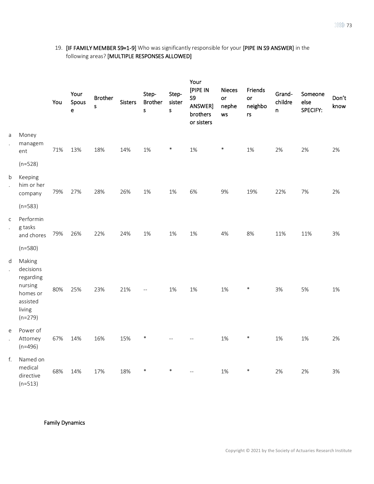## 19. [IF FAMILY MEMBER S9=1-9] Who was significantly responsible for your [PIPE IN S9 ANSWER] in the following areas? [MULTIPLE RESPONSES ALLOWED]

|                                      |                                                                                            | You | Your<br>Spous<br>e | <b>Brother</b><br>s. | <b>Sisters</b> | Step-<br><b>Brother</b><br>s | Step-<br>sister<br>$\sf S$ | Your<br>[PIPE IN<br>S9<br>ANSWER]<br>brothers<br>or sisters | <b>Nieces</b><br>or<br>nephe<br>ws | Friends<br>or<br>neighbo<br>rs | Grand-<br>childre<br>$\mathsf{n}$ | Someone<br>else<br>SPECIFY: | Don't<br>know |
|--------------------------------------|--------------------------------------------------------------------------------------------|-----|--------------------|----------------------|----------------|------------------------------|----------------------------|-------------------------------------------------------------|------------------------------------|--------------------------------|-----------------------------------|-----------------------------|---------------|
| a<br>$\ddot{\phantom{a}}$            | Money<br>managem<br>ent                                                                    | 71% | 13%                | 18%                  | 14%            | 1%                           | $\ast$                     | 1%                                                          | $\ast$                             | $1\%$                          | 2%                                | 2%                          | 2%            |
|                                      | $(n=528)$                                                                                  |     |                    |                      |                |                              |                            |                                                             |                                    |                                |                                   |                             |               |
| b<br>$\ddot{\phantom{a}}$            | Keeping<br>him or her<br>company                                                           | 79% | 27%                | 28%                  | 26%            | 1%                           | $1\%$                      | 6%                                                          | 9%                                 | 19%                            | 22%                               | 7%                          | 2%            |
|                                      | $(n=583)$                                                                                  |     |                    |                      |                |                              |                            |                                                             |                                    |                                |                                   |                             |               |
| $\mathsf{C}$<br>$\ddot{\phantom{a}}$ | Performin<br>g tasks<br>and chores                                                         | 79% | 26%                | 22%                  | 24%            | 1%                           | 1%                         | 1%                                                          | 4%                                 | 8%                             | 11%                               | 11%                         | 3%            |
|                                      | $(n=580)$                                                                                  |     |                    |                      |                |                              |                            |                                                             |                                    |                                |                                   |                             |               |
| d<br>$\ddot{\phantom{a}}$            | Making<br>decisions<br>regarding<br>nursing<br>homes or<br>assisted<br>living<br>$(n=279)$ | 80% | 25%                | 23%                  | 21%            | $=$                          | 1%                         | 1%                                                          | 1%                                 | $\ast$                         | 3%                                | 5%                          | 1%            |
| e<br>$\ddot{\phantom{a}}$            | Power of<br>Attorney<br>$(n=496)$                                                          | 67% | 14%                | 16%                  | 15%            | $\ast$                       |                            |                                                             | 1%                                 | $\ast$                         | 1%                                | 1%                          | 2%            |
| f.                                   | Named on<br>medical<br>directive<br>$(n=513)$                                              | 68% | 14%                | 17%                  | 18%            | $\ast$                       | $\ast$                     | $\overline{a}$                                              | 1%                                 | $\ast$                         | 2%                                | 2%                          | 3%            |

Family Dynamics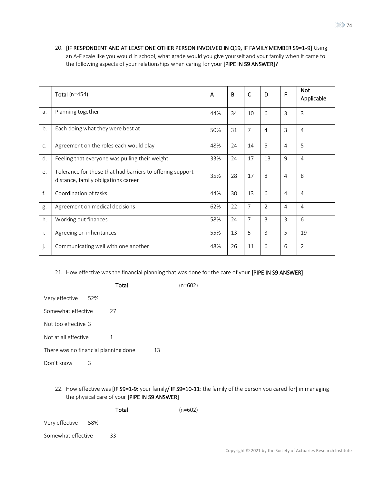20. [IF RESPONDENT AND AT LEAST ONE OTHER PERSON INVOLVED IN Q19, IF FAMILY MEMBER S9=1-9] Using an A-F scale like you would in school, what grade would you give yourself and your family when it came to the following aspects of your relationships when caring for your [PIPE IN S9 ANSWER]?

|    | Total $(n=454)$                                                                                    | A   | В  | C              | D              | F              | <b>Not</b><br>Applicable |
|----|----------------------------------------------------------------------------------------------------|-----|----|----------------|----------------|----------------|--------------------------|
| a. | Planning together                                                                                  | 44% | 34 | 10             | 6              | $\overline{3}$ | 3                        |
| b. | Each doing what they were best at                                                                  | 50% | 31 | 7              | $\overline{4}$ | 3              | $\overline{4}$           |
| C. | Agreement on the roles each would play                                                             | 48% | 24 | 14             | 5              | 4              | 5                        |
| d. | Feeling that everyone was pulling their weight                                                     | 33% | 24 | 17             | 13             | 9              | $\overline{4}$           |
| e. | Tolerance for those that had barriers to offering support -<br>distance, family obligations career | 35% | 28 | 17             | 8              | $\overline{4}$ | 8                        |
| f. | Coordination of tasks                                                                              | 44% | 30 | 13             | 6              | $\overline{4}$ | $\overline{4}$           |
| g. | Agreement on medical decisions                                                                     | 62% | 22 | $\overline{7}$ | $\overline{2}$ | $\overline{4}$ | 4                        |
| h. | Working out finances                                                                               | 58% | 24 | $\overline{7}$ | $\overline{3}$ | $\overline{3}$ | 6                        |
| i. | Agreeing on inheritances                                                                           | 55% | 13 | 5              | 3              | 5              | 19                       |
| j. | Communicating well with one another                                                                | 48% | 26 | 11             | 6              | 6              | $\overline{2}$           |

21. How effective was the financial planning that was done for the care of your [PIPE IN S9 ANSWER]

|                                      |   | Total |    | $(n=602)$ |
|--------------------------------------|---|-------|----|-----------|
| Very effective 52%                   |   |       |    |           |
| Somewhat effective                   |   | 27    |    |           |
| Not too effective 3                  |   |       |    |           |
| Not at all effective                 |   | 1     |    |           |
| There was no financial planning done |   |       | 13 |           |
| Don't know                           | З |       |    |           |
|                                      |   |       |    |           |

22. How effective was [IF S9=1-9: your family/ IF S9=10-11: the family of the person you cared for] in managing the physical care of your [PIPE IN S9 ANSWER]

|                    | Total | $(n=602)$ |
|--------------------|-------|-----------|
| Very effective 58% |       |           |
| Somewhat effective | 33    |           |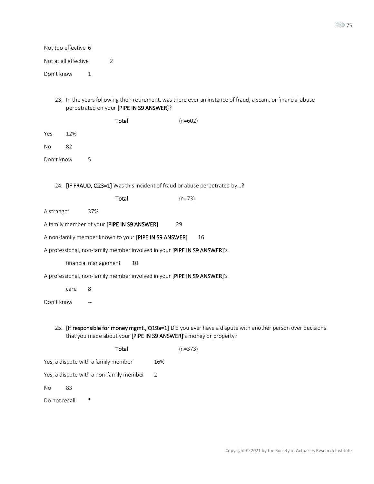| Not too effective 6  |                                          |                                                                                                              |
|----------------------|------------------------------------------|--------------------------------------------------------------------------------------------------------------|
| Not at all effective | 2                                        |                                                                                                              |
| Don't know<br>1      |                                          |                                                                                                              |
|                      | perpetrated on your [PIPE IN S9 ANSWER]? | 23. In the years following their retirement, was there ever an instance of fraud, a scam, or financial abuse |
|                      | Total                                    | $(n=602)$                                                                                                    |
|                      |                                          |                                                                                                              |

| Yes | 12% |
|-----|-----|
|     |     |

No 82

Don't know 5

24. **[IF FRAUD, Q23=1]** Was this incident of fraud or abuse perpetrated by...?

A stranger 37%

| A family member of your [PIPE IN S9 ANSWER] | 29 |
|---------------------------------------------|----|
|---------------------------------------------|----|

A non-family member known to your [PIPE IN S9 ANSWER] 16

A professional, non-family member involved in your [PIPE IN S9 ANSWER]'s

financial management 10

A professional, non-family member involved in your [PIPE IN S9 ANSWER]'s

care 8

Don't know --

25. [If responsible for money mgmt., Q19a=1] Did you ever have a dispute with another person over decisions that you made about your [PIPE IN S9 ANSWER]'s money or property?

|                                         | Total |     | $(n=373)$ |
|-----------------------------------------|-------|-----|-----------|
| Yes, a dispute with a family member     |       | 16% |           |
| Yes, a dispute with a non-family member |       | 2   |           |
| No<br>83                                |       |     |           |
| ∗<br>Do not recall                      |       |     |           |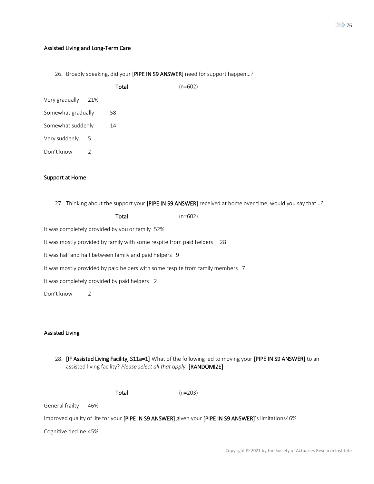#### Assisted Living and Long-Term Care

26. Broadly speaking, did your [PIPE IN S9 ANSWER] need for support happen...?

|                    |     | Total | $(n=602)$ |
|--------------------|-----|-------|-----------|
| Very gradually     | 21% |       |           |
| Somewhat gradually |     | 58    |           |
| Somewhat suddenly  |     | 14    |           |
| Very suddenly      | - 5 |       |           |
| Don't know         |     |       |           |

#### Support at Home

27. Thinking about the support your [PIPE IN S9 ANSWER] received at home over time, would you say that...?

| Total | $(n=602)$ |
|-------|-----------|
|       |           |

It was completely provided by you or family 52%

It was mostly provided by family with some respite from paid helpers 28

It was half and half between family and paid helpers 9

It was mostly provided by paid helpers with some respite from family members 7

It was completely provided by paid helpers 2

Don't know 2

### Assisted Living

28. [IF Assisted Living Facility, S11a=1] What of the following led to moving your [PIPE IN S9 ANSWER] to an assisted living facility? *Please select all that apply.* [RANDOMIZE]

Total (n=203)

General frailty 46%

Improved quality of life for your [PIPE IN S9 ANSWER] given your [PIPE IN S9 ANSWER]'s limitations46%

Cognitive decline 45%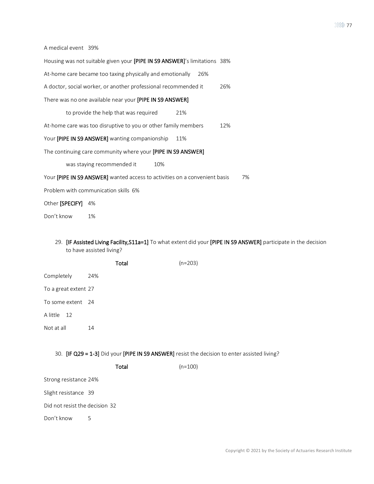A medical event 39%

| Housing was not suitable given your [PIPE IN S9 ANSWER]'s limitations 38%        |
|----------------------------------------------------------------------------------|
| At-home care became too taxing physically and emotionally<br>26%                 |
| A doctor, social worker, or another professional recommended it<br>26%           |
| There was no one available near your [PIPE IN S9 ANSWER]                         |
| to provide the help that was required<br>21%                                     |
| At-home care was too disruptive to you or other family members<br>12%            |
| Your [PIPE IN S9 ANSWER] wanting companionship<br>11%                            |
| The continuing care community where your [PIPE IN S9 ANSWER]                     |
| was staying recommended it<br>10%                                                |
| Your [PIPE IN S9 ANSWER] wanted access to activities on a convenient basis<br>7% |
| Problem with communication skills 6%                                             |
| Other [SPECIFY] 4%                                                               |
| Don't know<br>1%                                                                 |

29. [IF Assisted Living Facility,S11a=1] To what extent did your [PIPE IN S9 ANSWER] participate in the decision to have assisted living?

|                      |     | Total | $(n=203)$ |
|----------------------|-----|-------|-----------|
| Completely           | 24% |       |           |
| To a great extent 27 |     |       |           |
| To some extent 24    |     |       |           |
| A little 12          |     |       |           |
| Not at all           | 14  |       |           |
|                      |     |       |           |

30. [IF Q29 = 1-3] Did your [PIPE IN S9 ANSWER] resist the decision to enter assisted living?

| $(n=100)$ |
|-----------|
|           |

Strong resistance 24%

Slight resistance 39

Did not resist the decision 32

Don't know 5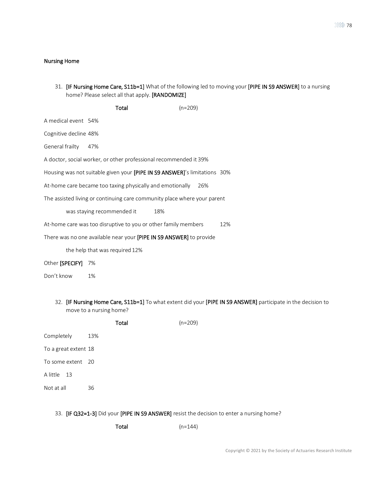### Nursing Home

31. [IF Nursing Home Care, S11b=1] What of the following led to moving your [PIPE IN S9 ANSWER] to a nursing home? Please select all that apply. [RANDOMIZE]

|                       | Total                                                                     | $(n=209)$ |     |
|-----------------------|---------------------------------------------------------------------------|-----------|-----|
| A medical event 54%   |                                                                           |           |     |
| Cognitive decline 48% |                                                                           |           |     |
| General frailty       | - 47%                                                                     |           |     |
|                       | A doctor, social worker, or other professional recommended it 39%         |           |     |
|                       | Housing was not suitable given your [PIPE IN S9 ANSWER]'s limitations 30% |           |     |
|                       | At-home care became too taxing physically and emotionally                 | 26%       |     |
|                       | The assisted living or continuing care community place where your parent  |           |     |
|                       | was staying recommended it<br>18%                                         |           |     |
|                       | At-home care was too disruptive to you or other family members            |           | 12% |
|                       | There was no one available near your [PIPE IN S9 ANSWER] to provide       |           |     |
|                       | the help that was required 12%                                            |           |     |

#### Other [SPECIFY] 7%

Don't know 1%

32. [IF Nursing Home Care, S11b=1] To what extent did your [PIPE IN S9 ANSWER] participate in the decision to move to a nursing home?

|                      |     | Total | $(n=209)$ |
|----------------------|-----|-------|-----------|
| Completely           | 13% |       |           |
| To a great extent 18 |     |       |           |
| To some extent 20    |     |       |           |
| A little 13          |     |       |           |
| Not at all           | 36  |       |           |

### 33. [IF Q32=1-3] Did your [PIPE IN S9 ANSWER] resist the decision to enter a nursing home?

 $Total$   $(n=144)$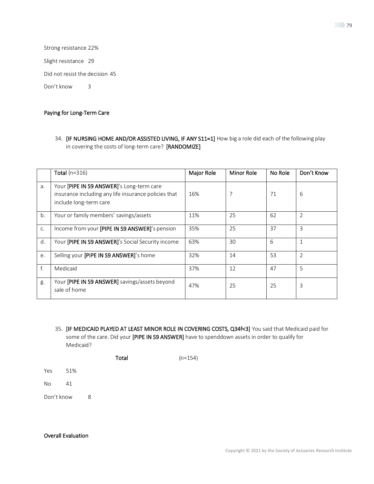Strong resistance 22%

Slight resistance 29

Did not resist the decision 45

Don't know 3

### Paying for Long-Term Care

34. [IF NURSING HOME AND/OR ASSISTED LIVING, IF ANY S11=1] How big a role did each of the following play in covering the costs of long-term care? [RANDOMIZE]

|    | Total ( $n=316$ )                                                                                                           | Major Role | Minor Role | No Role | Don't Know |
|----|-----------------------------------------------------------------------------------------------------------------------------|------------|------------|---------|------------|
| a. | Your [PIPE IN S9 ANSWER]'s Long-term care<br>insurance including any life insurance policies that<br>include long-term care | 16%        |            | 71      | 6          |
| b. | Your or family members' savings/assets                                                                                      | 11%        | 25         | 62      | 2          |
| C. | Income from your [PIPE IN S9 ANSWER]'s pension                                                                              | 35%        | 25         | 37      | 3          |
| d. | Your [PIPE IN S9 ANSWER]'s Social Security income                                                                           | 63%        | 30         | 6       | 1          |
| e. | Selling your <b>[PIPE IN S9 ANSWER]</b> 's home                                                                             | 32%        | 14         | 53      | 2          |
| f. | Medicaid                                                                                                                    | 37%        | 12         | 47      | 5          |
| g. | Your [PIPE IN S9 ANSWER] savings/assets beyond<br>sale of home                                                              | 47%        | 25         | 25      | 3          |

35. [IF MEDICAID PLAYED AT LEAST MINOR ROLE IN COVERING COSTS, Q34f<3] You said that Medicaid paid for some of the care. Did your [PIPE IN S9 ANSWER] have to spenddown assets in order to qualify for Medicaid?

Total (n=154)

Yes 51%

No 41

Don't know 8

#### Overall Evaluation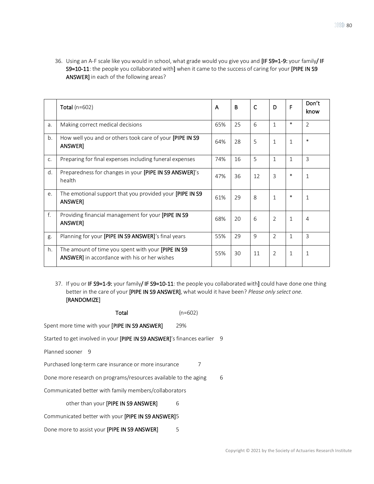36. Using an A-F scale like you would in school, what grade would you give you and [IF S9=1-9: your family/ IF S9=10-11: the people you collaborated with] when it came to the success of caring for your [PIPE IN S9 ANSWER] in each of the following areas?

|    | Total $(n=602)$                                                                                    | A   | B  | $\mathsf{C}$ | D              | F            | Don't<br>know  |
|----|----------------------------------------------------------------------------------------------------|-----|----|--------------|----------------|--------------|----------------|
| a. | Making correct medical decisions                                                                   | 65% | 25 | 6            | $\mathbf{1}$   | $\ast$       | $\overline{2}$ |
| b. | How well you and or others took care of your [PIPE IN S9<br>ANSWER]                                | 64% | 28 | 5            | $\mathbf{1}$   | 1            | $\ast$         |
| C. | Preparing for final expenses including funeral expenses                                            | 74% | 16 | 5            | $\mathbf{1}$   | $\mathbf{1}$ | 3              |
| d. | Preparedness for changes in your [PIPE IN S9 ANSWER]'s<br>health                                   | 47% | 36 | 12           | 3              | $\ast$       | $\mathbf{1}$   |
| e. | The emotional support that you provided your [PIPE IN S9]<br>ANSWER]                               | 61% | 29 | 8            | $\mathbf{1}$   | $\ast$       | $\mathbf{1}$   |
| f. | Providing financial management for your [PIPE IN S9<br>ANSWER]                                     | 68% | 20 | 6            | 2              | $\mathbf{1}$ | 4              |
| g. | Planning for your [PIPE IN S9 ANSWER]'s final years                                                | 55% | 29 | 9            | $\overline{2}$ | $\mathbf{1}$ | 3              |
| h. | The amount of time you spent with your [PIPE IN S9<br>ANSWER] in accordance with his or her wishes | 55% | 30 | 11           | $\overline{2}$ | $\mathbf{1}$ | 1              |

37. If you or IF S9=1-9: your family/ IF S9=10-11: the people you collaborated with] could have done one thing better in the care of your [PIPE IN S9 ANSWER], what would it have been? *Please only select one.* [RANDOMIZE]

| Total                                                                  | $(n=602)$ |  |
|------------------------------------------------------------------------|-----------|--|
| Spent more time with your [PIPE IN S9 ANSWER]                          | 29%       |  |
| Started to get involved in your [PIPE IN S9 ANSWER]'s finances earlier | 9         |  |
| Planned sooner 9                                                       |           |  |
| Purchased long-term care insurance or more insurance                   | 7         |  |
| Done more research on programs/resources available to the aging        | 6         |  |
| Communicated better with family members/collaborators                  |           |  |
| other than your [PIPE IN S9 ANSWER]                                    | 6         |  |
| Communicated better with your <b>[PIPE IN S9 ANSWER]</b>               |           |  |
| Done more to assist your [PIPE IN S9 ANSWER]                           | 5         |  |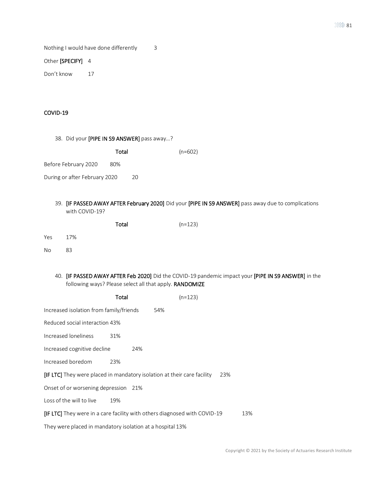Nothing I would have done differently 3

### Other [SPECIFY] 4

Don't know 17

### COVID-19

|  |  |  | 38. Did your [PIPE IN S9 ANSWER] pass away? |  |  |
|--|--|--|---------------------------------------------|--|--|
|--|--|--|---------------------------------------------|--|--|

|                               | Total |    | $(n=602)$ |
|-------------------------------|-------|----|-----------|
| Before February 2020          | 80%   |    |           |
| During or after February 2020 |       | 20 |           |

39. [IF PASSED AWAY AFTER February 2020] Did your [PIPE IN S9 ANSWER] pass away due to complications with COVID-19?

|           |     | Total | $(n=123)$ |
|-----------|-----|-------|-----------|
| Yes       | 17% |       |           |
| <b>No</b> | 83  |       |           |

40. [IF PASSED AWAY AFTER Feb 2020] Did the COVID-19 pandemic impact your [PIPE IN S9 ANSWER] in the following ways? Please select all that apply. RANDOMIZE

|                                                                           | Total | $(n=123)$ |     |     |
|---------------------------------------------------------------------------|-------|-----------|-----|-----|
| Increased isolation from family/friends                                   |       | 54%       |     |     |
| Reduced social interaction 43%                                            |       |           |     |     |
| Increased loneliness                                                      | 31%   |           |     |     |
| Increased cognitive decline                                               | 24%   |           |     |     |
| Increased boredom                                                         | 23%   |           |     |     |
| [IF LTC] They were placed in mandatory isolation at their care facility   |       |           | 23% |     |
| Onset of or worsening depression 21%                                      |       |           |     |     |
| Loss of the will to live                                                  | 19%   |           |     |     |
| [IF LTC] They were in a care facility with others diagnosed with COVID-19 |       |           |     | 13% |
| They were placed in mandatory isolation at a hospital 13%                 |       |           |     |     |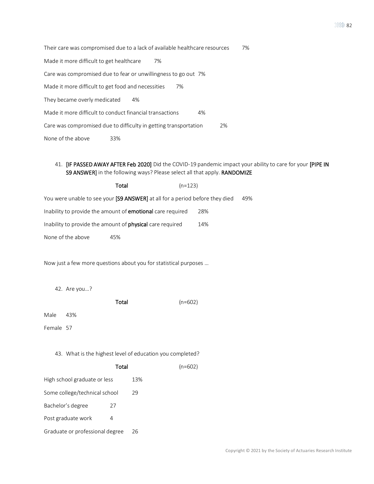Their care was compromised due to a lack of available healthcare resources 7% Made it more difficult to get healthcare 7% Care was compromised due to fear or unwillingness to go out 7% Made it more difficult to get food and necessities 7% They became overly medicated 4% Made it more difficult to conduct financial transactions 4% Care was compromised due to difficulty in getting transportation 2% None of the above 33%

### 41. [IF PASSED AWAY AFTER Feb 2020] Did the COVID-19 pandemic impact your ability to care for your [PIPE IN S9 ANSWER] in the following ways? Please select all that apply. RANDOMIZE

|                   | Total                                                                        | $(n=123)$ |     |     |
|-------------------|------------------------------------------------------------------------------|-----------|-----|-----|
|                   | You were unable to see your [S9 ANSWER] at all for a period before they died |           |     | 49% |
|                   | Inability to provide the amount of <b>emotional</b> care required            |           | 28% |     |
|                   | Inability to provide the amount of <b>physical</b> care required             |           | 14% |     |
| None of the above | 45%                                                                          |           |     |     |

Now just a few more questions about you for statistical purposes …

42. Are you…?

| $(n=602)$ |
|-----------|
|           |

Male 43%

Female 57

43. What is the highest level of education you completed?

|                                 | Total |     | $(n=602)$ |
|---------------------------------|-------|-----|-----------|
| High school graduate or less    |       | 13% |           |
| Some college/technical school   |       | 29  |           |
| Bachelor's degree               | 27    |     |           |
| Post graduate work              | 4     |     |           |
| Graduate or professional degree |       | 26  |           |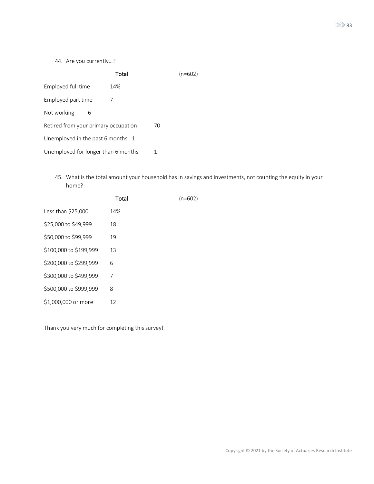44. Are you currently…?

|                                      | Total |    | $(n=602)$ |
|--------------------------------------|-------|----|-----------|
| Employed full time                   | 14%   |    |           |
| Employed part time                   |       |    |           |
| Not working<br>6                     |       |    |           |
| Retired from your primary occupation |       | 70 |           |
| Unemployed in the past 6 months 1    |       |    |           |
| Unemployed for longer than 6 months  |       |    |           |

45. What is the total amount your household has in savings and investments, not counting the equity in your home?

|                        | Total | $(n=602)$ |
|------------------------|-------|-----------|
| Less than \$25,000     | 14%   |           |
| \$25,000 to \$49,999   | 18    |           |
| \$50,000 to \$99,999   | 19    |           |
| \$100,000 to \$199,999 | 13    |           |
| \$200,000 to \$299,999 | 6     |           |
| \$300,000 to \$499,999 | 7     |           |
| \$500,000 to \$999,999 | 8     |           |
| \$1,000,000 or more    | 12    |           |

Thank you very much for completing this survey!